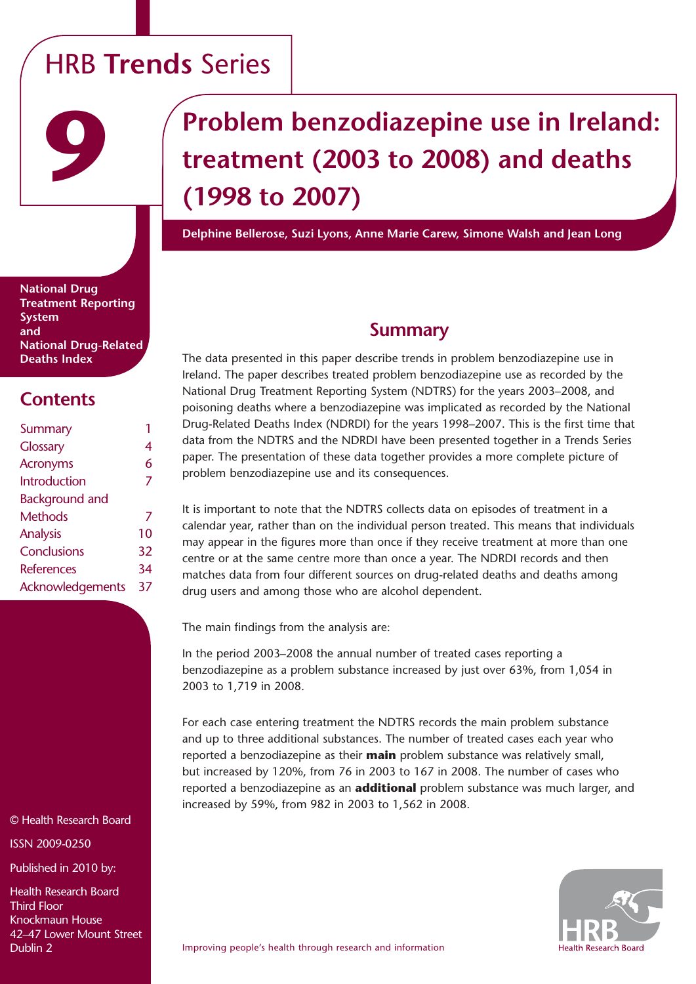# HRB **Trends** Series

# **Problem benzodiazepine use in Ireland: treatment (2003 to 2008) and deaths (1998 to 2007)**

**Delphine Bellerose, Suzi Lyons, Anne Marie Carew, Simone Walsh and Jean Long**

**National Drug Treatment Reporting System and National Drug-Related Deaths Index**

**9**

# **Contents**

| Summary               |    |
|-----------------------|----|
| Glossary              | 4  |
| <b>Acronyms</b>       | 6  |
| Introduction          | 7  |
| <b>Background and</b> |    |
| Methods               | 7  |
| Analysis              | 10 |
| Conclusions           | 32 |
| <b>References</b>     | 34 |
| Acknowledgements      | 37 |
|                       |    |

© Health Research Board

ISSN 2009-0250

Published in 2010 by:

Health Research Board Third Floor Knockmaun House 42–47 Lower Mount Street Dublin 2

### **Summary**

The data presented in this paper describe trends in problem benzodiazepine use in Ireland. The paper describes treated problem benzodiazepine use as recorded by the National Drug Treatment Reporting System (NDTRS) for the years 2003–2008, and poisoning deaths where a benzodiazepine was implicated as recorded by the National Drug-Related Deaths Index (NDRDI) for the years 1998–2007. This is the first time that data from the NDTRS and the NDRDI have been presented together in a Trends Series paper. The presentation of these data together provides a more complete picture of problem benzodiazepine use and its consequences.

It is important to note that the NDTRS collects data on episodes of treatment in a calendar year, rather than on the individual person treated. This means that individuals may appear in the figures more than once if they receive treatment at more than one centre or at the same centre more than once a year. The NDRDI records and then matches data from four different sources on drug-related deaths and deaths among drug users and among those who are alcohol dependent.

The main findings from the analysis are:

In the period 2003–2008 the annual number of treated cases reporting a benzodiazepine as a problem substance increased by just over 63%, from 1,054 in 2003 to 1,719 in 2008.

For each case entering treatment the NDTRS records the main problem substance and up to three additional substances. The number of treated cases each year who reported a benzodiazepine as their **main** problem substance was relatively small, but increased by 120%, from 76 in 2003 to 167 in 2008. The number of cases who reported a benzodiazepine as an **additional** problem substance was much larger, and increased by 59%, from 982 in 2003 to 1,562 in 2008.

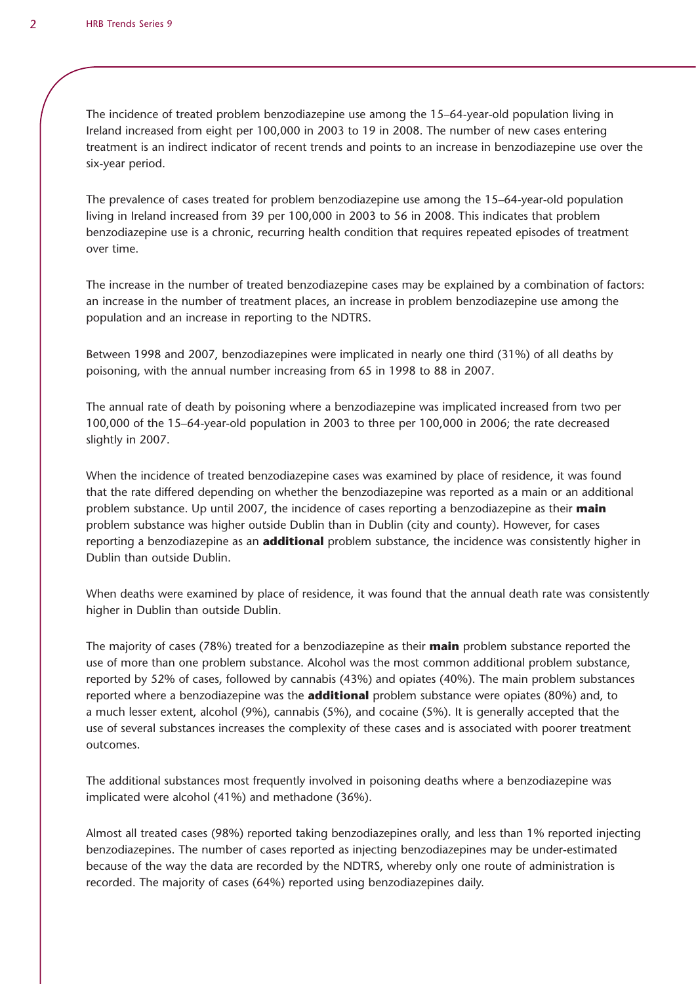The incidence of treated problem benzodiazepine use among the 15–64-year-old population living in Ireland increased from eight per 100,000 in 2003 to 19 in 2008. The number of new cases entering treatment is an indirect indicator of recent trends and points to an increase in benzodiazepine use over the six-year period.

The prevalence of cases treated for problem benzodiazepine use among the 15–64-year-old population living in Ireland increased from 39 per 100,000 in 2003 to 56 in 2008. This indicates that problem benzodiazepine use is a chronic, recurring health condition that requires repeated episodes of treatment over time.

The increase in the number of treated benzodiazepine cases may be explained by a combination of factors: an increase in the number of treatment places, an increase in problem benzodiazepine use among the population and an increase in reporting to the NDTRS.

Between 1998 and 2007, benzodiazepines were implicated in nearly one third (31%) of all deaths by poisoning, with the annual number increasing from 65 in 1998 to 88 in 2007.

The annual rate of death by poisoning where a benzodiazepine was implicated increased from two per 100,000 of the 15–64-year-old population in 2003 to three per 100,000 in 2006; the rate decreased slightly in 2007.

When the incidence of treated benzodiazepine cases was examined by place of residence, it was found that the rate differed depending on whether the benzodiazepine was reported as a main or an additional problem substance. Up until 2007, the incidence of cases reporting a benzodiazepine as their **main** problem substance was higher outside Dublin than in Dublin (city and county). However, for cases reporting a benzodiazepine as an **additional** problem substance, the incidence was consistently higher in Dublin than outside Dublin.

When deaths were examined by place of residence, it was found that the annual death rate was consistently higher in Dublin than outside Dublin.

The majority of cases (78%) treated for a benzodiazepine as their **main** problem substance reported the use of more than one problem substance. Alcohol was the most common additional problem substance, reported by 52% of cases, followed by cannabis (43%) and opiates (40%). The main problem substances reported where a benzodiazepine was the **additional** problem substance were opiates (80%) and, to a much lesser extent, alcohol (9%), cannabis (5%), and cocaine (5%). It is generally accepted that the use of several substances increases the complexity of these cases and is associated with poorer treatment outcomes.

The additional substances most frequently involved in poisoning deaths where a benzodiazepine was implicated were alcohol (41%) and methadone (36%).

Almost all treated cases (98%) reported taking benzodiazepines orally, and less than 1% reported injecting benzodiazepines. The number of cases reported as injecting benzodiazepines may be under-estimated because of the way the data are recorded by the NDTRS, whereby only one route of administration is recorded. The majority of cases (64%) reported using benzodiazepines daily.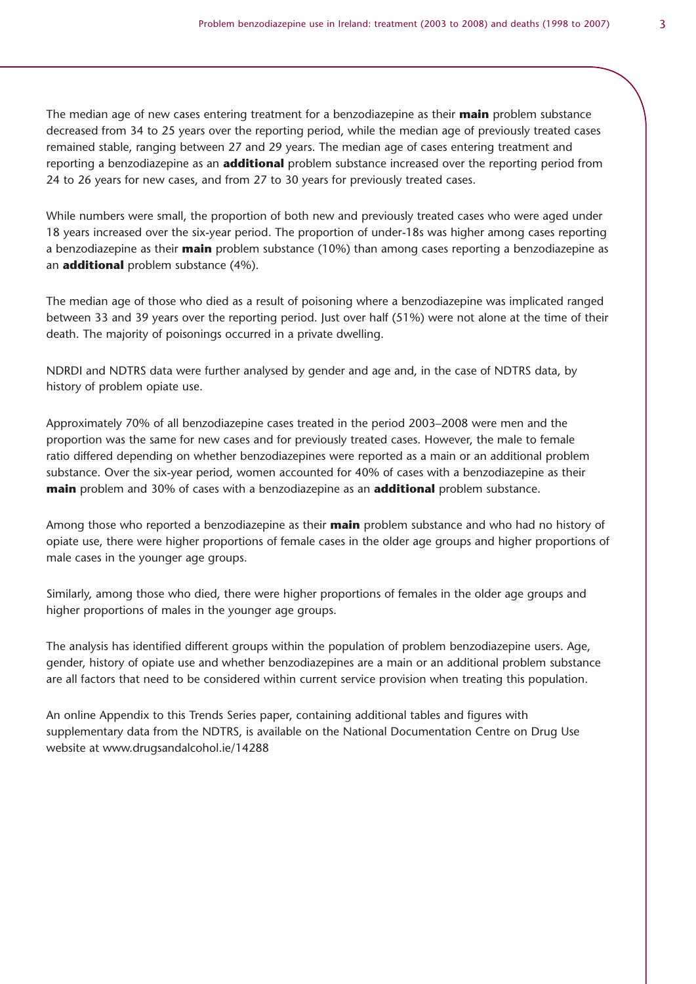The median age of new cases entering treatment for a benzodiazepine as their **main** problem substance decreased from 34 to 25 years over the reporting period, while the median age of previously treated cases remained stable, ranging between 27 and 29 years. The median age of cases entering treatment and reporting a benzodiazepine as an **additional** problem substance increased over the reporting period from 24 to 26 years for new cases, and from 27 to 30 years for previously treated cases.

While numbers were small, the proportion of both new and previously treated cases who were aged under 18 years increased over the six-year period. The proportion of under-18s was higher among cases reporting a benzodiazepine as their **main** problem substance (10%) than among cases reporting a benzodiazepine as an **additional** problem substance (4%).

The median age of those who died as a result of poisoning where a benzodiazepine was implicated ranged between 33 and 39 years over the reporting period. Just over half (51%) were not alone at the time of their death. The majority of poisonings occurred in a private dwelling.

NDRDI and NDTRS data were further analysed by gender and age and, in the case of NDTRS data, by history of problem opiate use.

Approximately 70% of all benzodiazepine cases treated in the period 2003–2008 were men and the proportion was the same for new cases and for previously treated cases. However, the male to female ratio differed depending on whether benzodiazepines were reported as a main or an additional problem substance. Over the six-year period, women accounted for 40% of cases with a benzodiazepine as their **main** problem and 30% of cases with a benzodiazepine as an **additional** problem substance.

Among those who reported a benzodiazepine as their **main** problem substance and who had no history of opiate use, there were higher proportions of female cases in the older age groups and higher proportions of male cases in the younger age groups.

Similarly, among those who died, there were higher proportions of females in the older age groups and higher proportions of males in the younger age groups.

The analysis has identified different groups within the population of problem benzodiazepine users. Age, gender, history of opiate use and whether benzodiazepines are a main or an additional problem substance are all factors that need to be considered within current service provision when treating this population.

An online Appendix to this Trends Series paper, containing additional tables and figures with supplementary data from the NDTRS, is available on the National Documentation Centre on Drug Use website at www.drugsandalcohol.ie/14288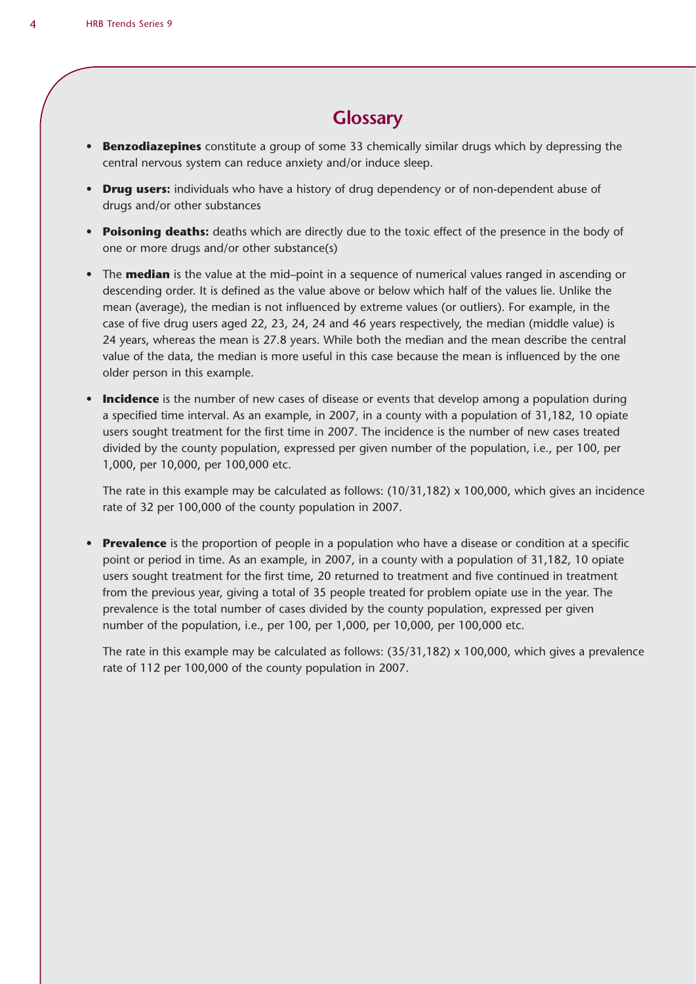### **Glossary**

- **Benzodiazepines** constitute a group of some 33 chemically similar drugs which by depressing the central nervous system can reduce anxiety and/or induce sleep.
- **Drug users:** individuals who have a history of drug dependency or of non-dependent abuse of drugs and/or other substances
- **Poisoning deaths:** deaths which are directly due to the toxic effect of the presence in the body of one or more drugs and/or other substance(s)
- The **median** is the value at the mid–point in a sequence of numerical values ranged in ascending or descending order. It is defined as the value above or below which half of the values lie. Unlike the mean (average), the median is not influenced by extreme values (or outliers). For example, in the case of five drug users aged 22, 23, 24, 24 and 46 years respectively, the median (middle value) is 24 years, whereas the mean is 27.8 years. While both the median and the mean describe the central value of the data, the median is more useful in this case because the mean is influenced by the one older person in this example.
- **Incidence** is the number of new cases of disease or events that develop among a population during a specified time interval. As an example, in 2007, in a county with a population of 31,182, 10 opiate users sought treatment for the first time in 2007. The incidence is the number of new cases treated divided by the county population, expressed per given number of the population, i.e., per 100, per 1,000, per 10,000, per 100,000 etc.

The rate in this example may be calculated as follows:  $(10/31,182) \times 100,000$ , which gives an incidence rate of 32 per 100,000 of the county population in 2007.

• **Prevalence** is the proportion of people in a population who have a disease or condition at a specific point or period in time. As an example, in 2007, in a county with a population of 31,182, 10 opiate users sought treatment for the first time, 20 returned to treatment and five continued in treatment from the previous year, giving a total of 35 people treated for problem opiate use in the year. The prevalence is the total number of cases divided by the county population, expressed per given number of the population, i.e., per 100, per 1,000, per 10,000, per 100,000 etc.

The rate in this example may be calculated as follows:  $(35/31,182) \times 100,000$ , which gives a prevalence rate of 112 per 100,000 of the county population in 2007.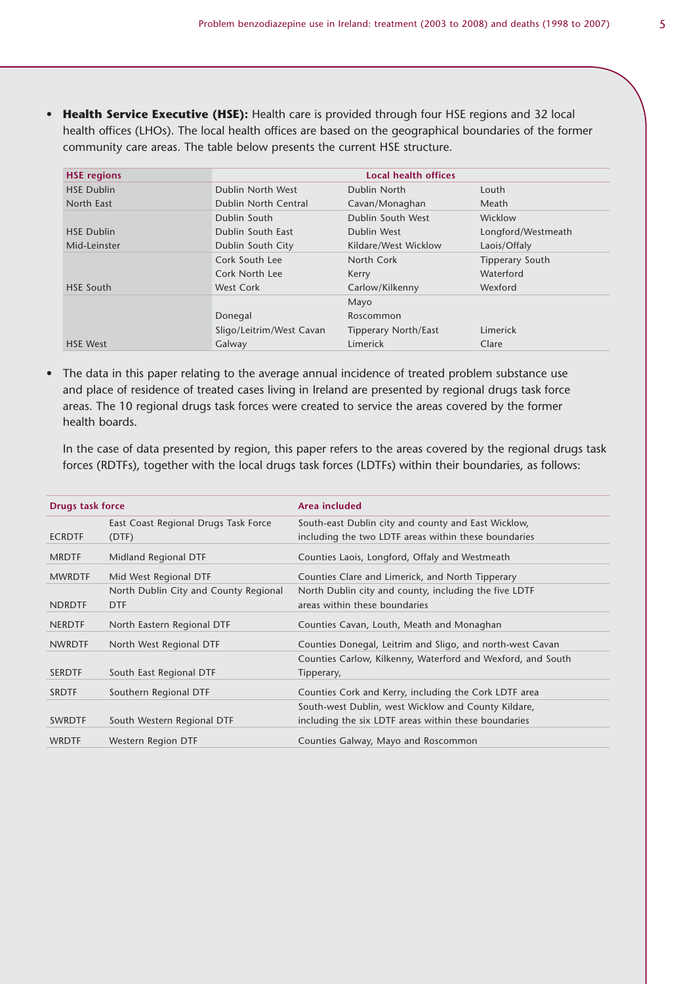• **Health Service Executive (HSE):** Health care is provided through four HSE regions and 32 local health offices (LHOs). The local health offices are based on the geographical boundaries of the former community care areas. The table below presents the current HSE structure.

| <b>HSE regions</b> |                          | Local health offices        |                        |
|--------------------|--------------------------|-----------------------------|------------------------|
| <b>HSE Dublin</b>  | Dublin North West        | Dublin North                | Louth                  |
| North East         | Dublin North Central     | Cavan/Monaghan              | Meath                  |
|                    | Dublin South             | Dublin South West           | Wicklow                |
| <b>HSE Dublin</b>  | Dublin South East        | Dublin West                 | Longford/Westmeath     |
| Mid-Leinster       | Dublin South City        | Kildare/West Wicklow        | Laois/Offaly           |
|                    | Cork South Lee           | North Cork                  | <b>Tipperary South</b> |
|                    | Cork North Lee           | Kerry                       | Waterford              |
| <b>HSE South</b>   | West Cork                | Carlow/Kilkenny             | Wexford                |
|                    |                          | Mayo                        |                        |
|                    | Donegal                  | Roscommon                   |                        |
|                    | Sligo/Leitrim/West Cavan | <b>Tipperary North/East</b> | Limerick               |
| <b>HSE West</b>    | Galway                   | Limerick                    | Clare                  |

• The data in this paper relating to the average annual incidence of treated problem substance use and place of residence of treated cases living in Ireland are presented by regional drugs task force areas. The 10 regional drugs task forces were created to service the areas covered by the former health boards.

In the case of data presented by region, this paper refers to the areas covered by the regional drugs task forces (RDTFs), together with the local drugs task forces (LDTFs) within their boundaries, as follows:

| Drugs task force |                                       | Area included                                               |
|------------------|---------------------------------------|-------------------------------------------------------------|
|                  | East Coast Regional Drugs Task Force  | South-east Dublin city and county and East Wicklow,         |
| <b>ECRDTF</b>    | (DTF)                                 | including the two LDTF areas within these boundaries        |
| <b>MRDTF</b>     | Midland Regional DTF                  | Counties Laois, Longford, Offaly and Westmeath              |
| <b>MWRDTF</b>    | Mid West Regional DTF                 | Counties Clare and Limerick, and North Tipperary            |
|                  | North Dublin City and County Regional | North Dublin city and county, including the five LDTF       |
| <b>NDRDTF</b>    | <b>DTF</b>                            | areas within these boundaries                               |
| <b>NERDTF</b>    | North Eastern Regional DTF            | Counties Cavan, Louth, Meath and Monaghan                   |
| <b>NWRDTF</b>    | North West Regional DTF               | Counties Donegal, Leitrim and Sligo, and north-west Cavan   |
|                  |                                       | Counties Carlow, Kilkenny, Waterford and Wexford, and South |
| <b>SERDTF</b>    | South East Regional DTF               | Tipperary,                                                  |
| <b>SRDTF</b>     | Southern Regional DTF                 | Counties Cork and Kerry, including the Cork LDTF area       |
|                  |                                       | South-west Dublin, west Wicklow and County Kildare,         |
| <b>SWRDTF</b>    | South Western Regional DTF            | including the six LDTF areas within these boundaries        |
| <b>WRDTF</b>     | Western Region DTF                    | Counties Galway, Mayo and Roscommon                         |
|                  |                                       |                                                             |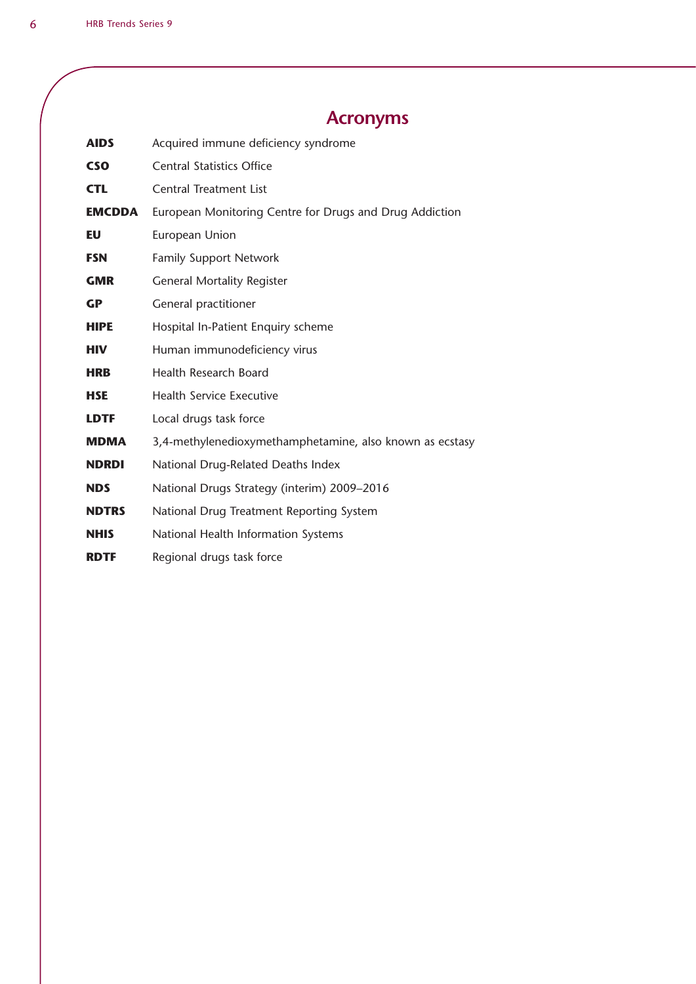# **Acronyms**

| <b>AIDS</b>   | Acquired immune deficiency syndrome                      |
|---------------|----------------------------------------------------------|
| <b>CSO</b>    | <b>Central Statistics Office</b>                         |
| <b>CTL</b>    | <b>Central Treatment List</b>                            |
| <b>EMCDDA</b> | European Monitoring Centre for Drugs and Drug Addiction  |
| EU            | European Union                                           |
| <b>FSN</b>    | <b>Family Support Network</b>                            |
| <b>GMR</b>    | <b>General Mortality Register</b>                        |
| <b>GP</b>     | General practitioner                                     |
| <b>HIPE</b>   | Hospital In-Patient Enquiry scheme                       |
| <b>HIV</b>    | Human immunodeficiency virus                             |
| <b>HRB</b>    | <b>Health Research Board</b>                             |
| <b>HSE</b>    | <b>Health Service Executive</b>                          |
| <b>LDTF</b>   | Local drugs task force                                   |
| <b>MDMA</b>   | 3,4-methylenedioxymethamphetamine, also known as ecstasy |
| <b>NDRDI</b>  | National Drug-Related Deaths Index                       |
| <b>NDS</b>    | National Drugs Strategy (interim) 2009-2016              |
| <b>NDTRS</b>  | National Drug Treatment Reporting System                 |
| <b>NHIS</b>   | National Health Information Systems                      |
| <b>RDTF</b>   | Regional drugs task force                                |
|               |                                                          |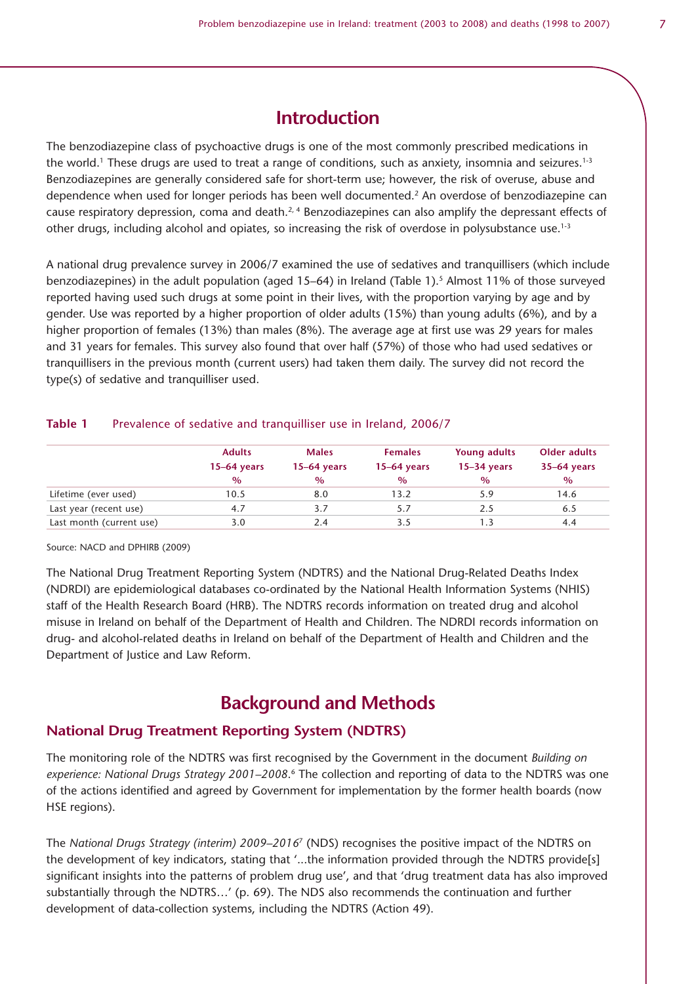### **Introduction**

The benzodiazepine class of psychoactive drugs is one of the most commonly prescribed medications in the world.<sup>1</sup> These drugs are used to treat a range of conditions, such as anxiety, insomnia and seizures.<sup>1-3</sup> Benzodiazepines are generally considered safe for short-term use; however, the risk of overuse, abuse and dependence when used for longer periods has been well documented.<sup>2</sup> An overdose of benzodiazepine can cause respiratory depression, coma and death.<sup>2, 4</sup> Benzodiazepines can also amplify the depressant effects of other drugs, including alcohol and opiates, so increasing the risk of overdose in polysubstance use.<sup>1-3</sup>

A national drug prevalence survey in 2006/7 examined the use of sedatives and tranquillisers (which include benzodiazepines) in the adult population (aged 15–64) in Ireland (Table 1).<sup>5</sup> Almost 11% of those surveyed reported having used such drugs at some point in their lives, with the proportion varying by age and by gender. Use was reported by a higher proportion of older adults (15%) than young adults (6%), and by a higher proportion of females (13%) than males (8%). The average age at first use was 29 years for males and 31 years for females. This survey also found that over half (57%) of those who had used sedatives or tranquillisers in the previous month (current users) had taken them daily. The survey did not record the type(s) of sedative and tranquilliser used.

#### **Table 1** Prevalence of sedative and tranquilliser use in Ireland, 2006/7

|                          | <b>Adults</b> | <b>Males</b>  | <b>Females</b> | Young adults  | Older adults  |
|--------------------------|---------------|---------------|----------------|---------------|---------------|
|                          | $15-64$ years | $15-64$ years | $15-64$ years  | $15-34$ years | $35-64$ years |
|                          | $\%$          | $\%$          | $\%$           | $\%$          | $\%$          |
| Lifetime (ever used)     | 10.5          | 8.0           | 13.2           | 5.9           | 14.6          |
| Last year (recent use)   | 4.7           | 3.7           |                | 2.5           | 6.5           |
| Last month (current use) | 3.0           | 2.4           |                |               | 4.4           |

Source: NACD and DPHIRB (2009)

The National Drug Treatment Reporting System (NDTRS) and the National Drug-Related Deaths Index (NDRDI) are epidemiological databases co-ordinated by the National Health Information Systems (NHIS) staff of the Health Research Board (HRB). The NDTRS records information on treated drug and alcohol misuse in Ireland on behalf of the Department of Health and Children. The NDRDI records information on drug- and alcohol-related deaths in Ireland on behalf of the Department of Health and Children and the Department of Justice and Law Reform.

### **Background and Methods**

#### **National Drug Treatment Reporting System (NDTRS)**

The monitoring role of the NDTRS was first recognised by the Government in the document *Building on*  experience: National Drugs Strategy 2001–2008.<sup>6</sup> The collection and reporting of data to the NDTRS was one of the actions identified and agreed by Government for implementation by the former health boards (now HSE regions).

The *National Drugs Strategy (interim) 2009–2016*7 (NDS) recognises the positive impact of the NDTRS on the development of key indicators, stating that '...the information provided through the NDTRS provide[s] significant insights into the patterns of problem drug use', and that 'drug treatment data has also improved substantially through the NDTRS…' (p. 69). The NDS also recommends the continuation and further development of data-collection systems, including the NDTRS (Action 49).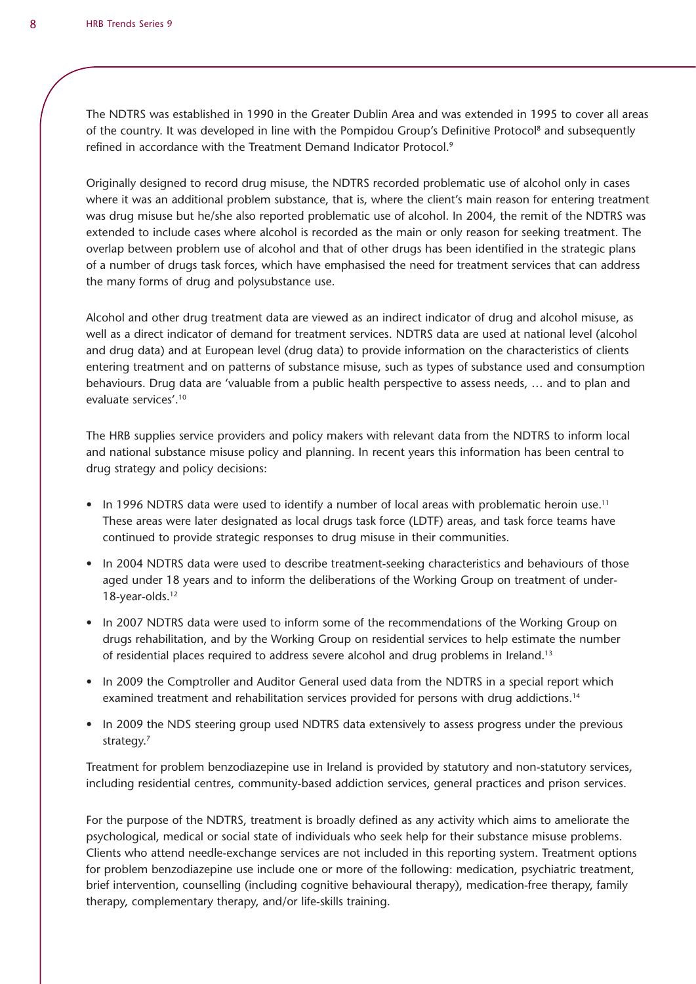The NDTRS was established in 1990 in the Greater Dublin Area and was extended in 1995 to cover all areas of the country. It was developed in line with the Pompidou Group's Definitive Protocol<sup>8</sup> and subsequently refined in accordance with the Treatment Demand Indicator Protocol.<sup>9</sup>

Originally designed to record drug misuse, the NDTRS recorded problematic use of alcohol only in cases where it was an additional problem substance, that is, where the client's main reason for entering treatment was drug misuse but he/she also reported problematic use of alcohol. In 2004, the remit of the NDTRS was extended to include cases where alcohol is recorded as the main or only reason for seeking treatment. The overlap between problem use of alcohol and that of other drugs has been identified in the strategic plans of a number of drugs task forces, which have emphasised the need for treatment services that can address the many forms of drug and polysubstance use.

Alcohol and other drug treatment data are viewed as an indirect indicator of drug and alcohol misuse, as well as a direct indicator of demand for treatment services. NDTRS data are used at national level (alcohol and drug data) and at European level (drug data) to provide information on the characteristics of clients entering treatment and on patterns of substance misuse, such as types of substance used and consumption behaviours. Drug data are 'valuable from a public health perspective to assess needs, … and to plan and evaluate services'.10

The HRB supplies service providers and policy makers with relevant data from the NDTRS to inform local and national substance misuse policy and planning. In recent years this information has been central to drug strategy and policy decisions:

- In 1996 NDTRS data were used to identify a number of local areas with problematic heroin use.<sup>11</sup> These areas were later designated as local drugs task force (LDTF) areas, and task force teams have continued to provide strategic responses to drug misuse in their communities.
- In 2004 NDTRS data were used to describe treatment-seeking characteristics and behaviours of those aged under 18 years and to inform the deliberations of the Working Group on treatment of under-18-year-olds.<sup>12</sup>
- In 2007 NDTRS data were used to inform some of the recommendations of the Working Group on drugs rehabilitation, and by the Working Group on residential services to help estimate the number of residential places required to address severe alcohol and drug problems in Ireland.13
- In 2009 the Comptroller and Auditor General used data from the NDTRS in a special report which examined treatment and rehabilitation services provided for persons with drug addictions.14
- In 2009 the NDS steering group used NDTRS data extensively to assess progress under the previous strategy.<sup>7</sup>

Treatment for problem benzodiazepine use in Ireland is provided by statutory and non-statutory services, including residential centres, community-based addiction services, general practices and prison services.

For the purpose of the NDTRS, treatment is broadly defined as any activity which aims to ameliorate the psychological, medical or social state of individuals who seek help for their substance misuse problems. Clients who attend needle-exchange services are not included in this reporting system. Treatment options for problem benzodiazepine use include one or more of the following: medication, psychiatric treatment, brief intervention, counselling (including cognitive behavioural therapy), medication-free therapy, family therapy, complementary therapy, and/or life-skills training.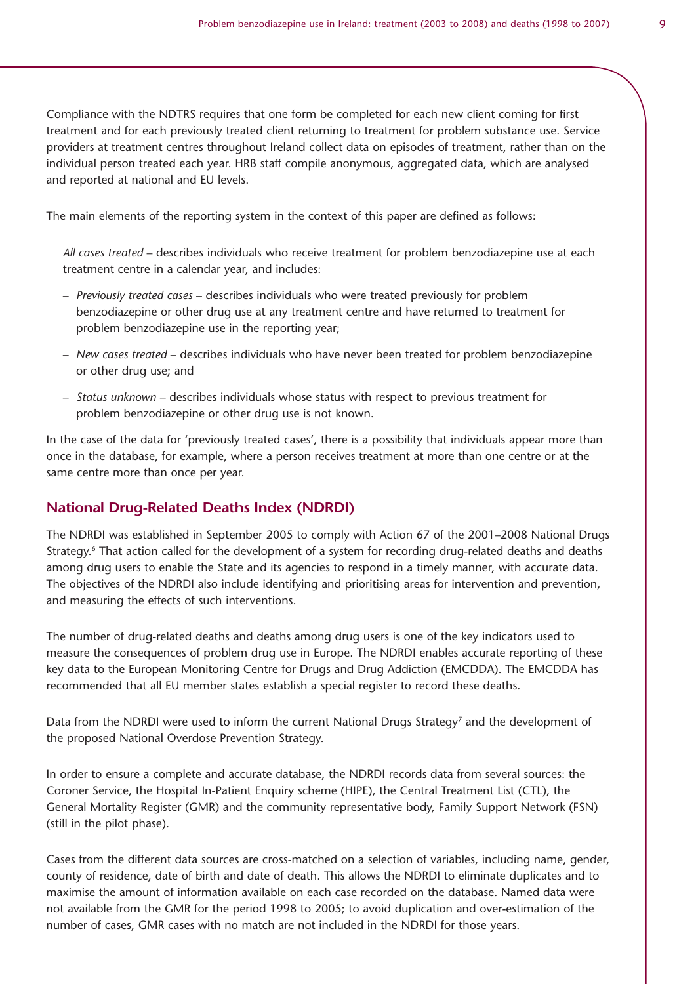Compliance with the NDTRS requires that one form be completed for each new client coming for first treatment and for each previously treated client returning to treatment for problem substance use. Service providers at treatment centres throughout Ireland collect data on episodes of treatment, rather than on the individual person treated each year. HRB staff compile anonymous, aggregated data, which are analysed and reported at national and EU levels.

The main elements of the reporting system in the context of this paper are defined as follows:

*All cases treated* – describes individuals who receive treatment for problem benzodiazepine use at each treatment centre in a calendar year, and includes:

- *Previously treated cases* describes individuals who were treated previously for problem benzodiazepine or other drug use at any treatment centre and have returned to treatment for problem benzodiazepine use in the reporting year;
- *New cases treated* describes individuals who have never been treated for problem benzodiazepine or other drug use; and
- *Status unknown* describes individuals whose status with respect to previous treatment for problem benzodiazepine or other drug use is not known.

In the case of the data for 'previously treated cases', there is a possibility that individuals appear more than once in the database, for example, where a person receives treatment at more than one centre or at the same centre more than once per year.

#### **National Drug-Related Deaths Index (NDRDI)**

The NDRDI was established in September 2005 to comply with Action 67 of the 2001–2008 National Drugs Strategy.<sup>6</sup> That action called for the development of a system for recording drug-related deaths and deaths among drug users to enable the State and its agencies to respond in a timely manner, with accurate data. The objectives of the NDRDI also include identifying and prioritising areas for intervention and prevention, and measuring the effects of such interventions.

The number of drug-related deaths and deaths among drug users is one of the key indicators used to measure the consequences of problem drug use in Europe. The NDRDI enables accurate reporting of these key data to the European Monitoring Centre for Drugs and Drug Addiction (EMCDDA). The EMCDDA has recommended that all EU member states establish a special register to record these deaths.

Data from the NDRDI were used to inform the current National Drugs Strategy<sup>7</sup> and the development of the proposed National Overdose Prevention Strategy.

In order to ensure a complete and accurate database, the NDRDI records data from several sources: the Coroner Service, the Hospital In-Patient Enquiry scheme (HIPE), the Central Treatment List (CTL), the General Mortality Register (GMR) and the community representative body, Family Support Network (FSN) (still in the pilot phase).

Cases from the different data sources are cross-matched on a selection of variables, including name, gender, county of residence, date of birth and date of death. This allows the NDRDI to eliminate duplicates and to maximise the amount of information available on each case recorded on the database. Named data were not available from the GMR for the period 1998 to 2005; to avoid duplication and over-estimation of the number of cases, GMR cases with no match are not included in the NDRDI for those years.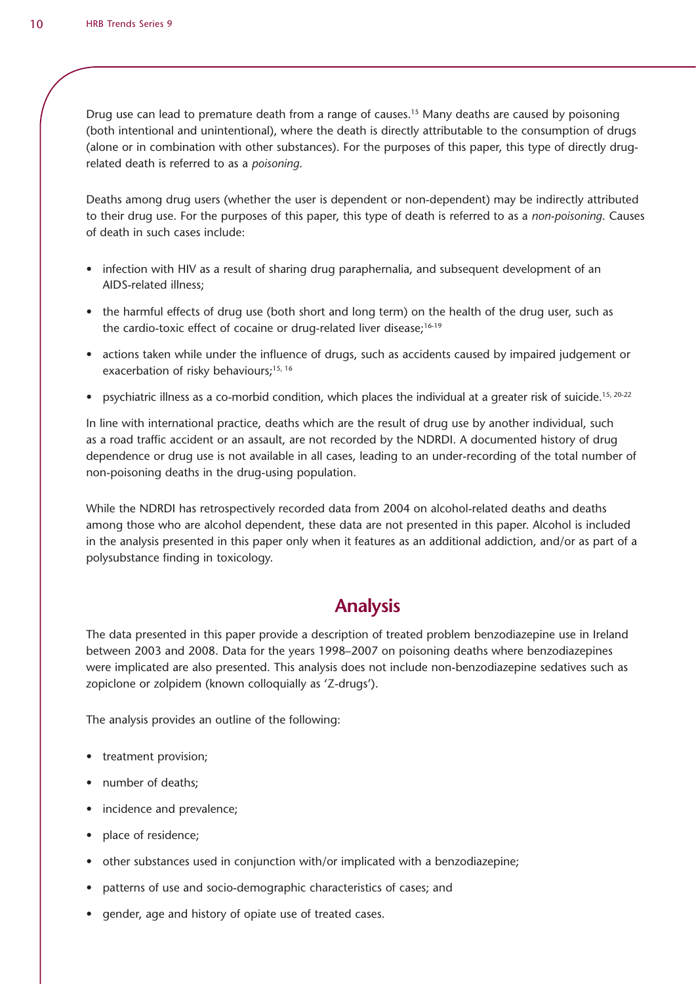Drug use can lead to premature death from a range of causes.15 Many deaths are caused by poisoning (both intentional and unintentional), where the death is directly attributable to the consumption of drugs (alone or in combination with other substances). For the purposes of this paper, this type of directly drugrelated death is referred to as a *poisoning*.

Deaths among drug users (whether the user is dependent or non-dependent) may be indirectly attributed to their drug use. For the purposes of this paper, this type of death is referred to as a *non-poisoning*. Causes of death in such cases include:

- infection with HIV as a result of sharing drug paraphernalia, and subsequent development of an AIDS-related illness;
- the harmful effects of drug use (both short and long term) on the health of the drug user, such as the cardio-toxic effect of cocaine or drug-related liver disease;<sup>16-19</sup>
- actions taken while under the influence of drugs, such as accidents caused by impaired judgement or exacerbation of risky behaviours;<sup>15, 16</sup>
- psychiatric illness as a co-morbid condition, which places the individual at a greater risk of suicide.<sup>15, 20-22</sup>

In line with international practice, deaths which are the result of drug use by another individual, such as a road traffic accident or an assault, are not recorded by the NDRDI. A documented history of drug dependence or drug use is not available in all cases, leading to an under-recording of the total number of non-poisoning deaths in the drug-using population.

While the NDRDI has retrospectively recorded data from 2004 on alcohol-related deaths and deaths among those who are alcohol dependent, these data are not presented in this paper. Alcohol is included in the analysis presented in this paper only when it features as an additional addiction, and/or as part of a polysubstance finding in toxicology.

# **Analysis**

The data presented in this paper provide a description of treated problem benzodiazepine use in Ireland between 2003 and 2008. Data for the years 1998–2007 on poisoning deaths where benzodiazepines were implicated are also presented. This analysis does not include non-benzodiazepine sedatives such as zopiclone or zolpidem (known colloquially as 'Z-drugs').

The analysis provides an outline of the following:

- treatment provision;
- number of deaths;
- incidence and prevalence;
- place of residence;
- other substances used in conjunction with/or implicated with a benzodiazepine;
- patterns of use and socio-demographic characteristics of cases; and
- gender, age and history of opiate use of treated cases.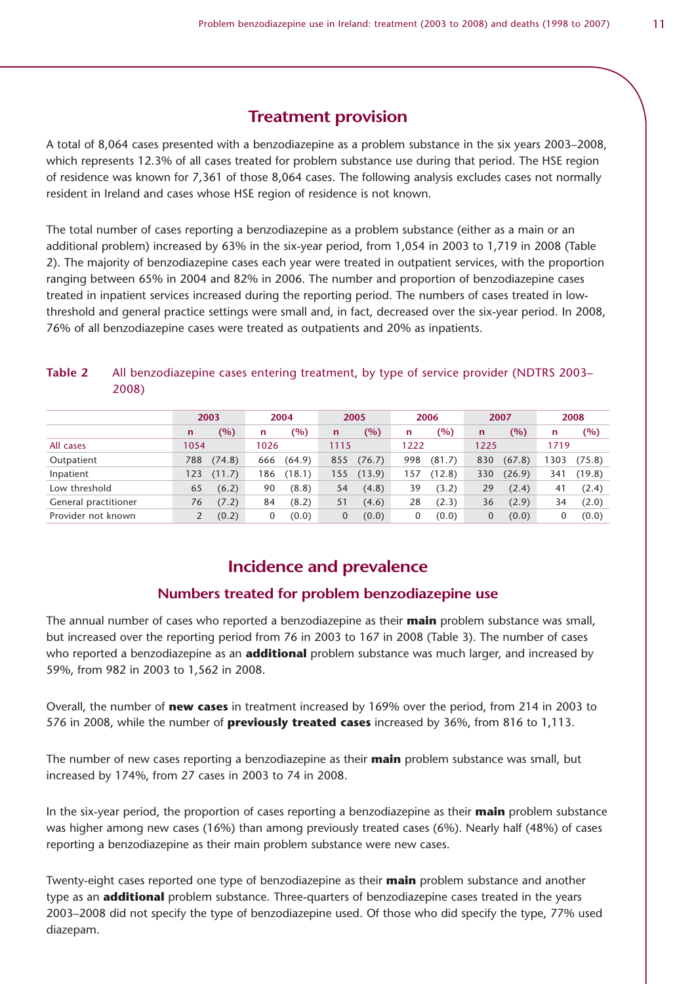# **Treatment provision**

A total of 8,064 cases presented with a benzodiazepine as a problem substance in the six years 2003–2008, which represents 12.3% of all cases treated for problem substance use during that period. The HSE region of residence was known for 7,361 of those 8,064 cases. The following analysis excludes cases not normally resident in Ireland and cases whose HSE region of residence is not known.

The total number of cases reporting a benzodiazepine as a problem substance (either as a main or an additional problem) increased by 63% in the six-year period, from 1,054 in 2003 to 1,719 in 2008 (Table 2). The majority of benzodiazepine cases each year were treated in outpatient services, with the proportion ranging between 65% in 2004 and 82% in 2006. The number and proportion of benzodiazepine cases treated in inpatient services increased during the reporting period. The numbers of cases treated in lowthreshold and general practice settings were small and, in fact, decreased over the six-year period. In 2008, 76% of all benzodiazepine cases were treated as outpatients and 20% as inpatients.

### **Table 2** All benzodiazepine cases entering treatment, by type of service provider (NDTRS 2003– 2008)

|                      | 2003 |        |      | 2004   | 2005 |        | 2006 |        | 2007         |        | 2008 |        |
|----------------------|------|--------|------|--------|------|--------|------|--------|--------------|--------|------|--------|
|                      | n    | (%)    | n    | (%)    | n    | $(\%)$ | n    | (%)    | $\mathsf{n}$ | (%)    | n    | (%)    |
| All cases            | 1054 |        | 1026 |        | 1115 |        | 1222 |        | 1225         |        | 1719 |        |
| Outpatient           | 788  | (74.8) | 666  | (64.9) | 855  | (76.7) | 998  | (81.7) | 830          | (67.8) | 303  | (75.8) |
| Inpatient            | 123  | (11.7) | 86   | (18.1) | 155  | (13.9) | 157  | (12.8) | 330          | (26.9) | 341  | (19.8) |
| Low threshold        | 65   | (6.2)  | 90   | (8.8)  | 54   | (4.8)  | 39   | (3.2)  | 29           | (2.4)  | 41   | (2.4)  |
| General practitioner | 76   | (7.2)  | 84   | (8.2)  | 51   | (4.6)  | 28   | (2.3)  | 36           | (2.9)  | 34   | (2.0)  |
| Provider not known   |      | (0.2)  | 0    | (0.0)  | 0    | (0.0)  |      | (0.0)  | 0            | (0.0)  | 0    | (0.0)  |

# **Incidence and prevalence**

### **Numbers treated for problem benzodiazepine use**

The annual number of cases who reported a benzodiazepine as their **main** problem substance was small, but increased over the reporting period from 76 in 2003 to 167 in 2008 (Table 3). The number of cases who reported a benzodiazepine as an **additional** problem substance was much larger, and increased by 59%, from 982 in 2003 to 1,562 in 2008.

Overall, the number of **new cases** in treatment increased by 169% over the period, from 214 in 2003 to 576 in 2008, while the number of **previously treated cases** increased by 36%, from 816 to 1,113.

The number of new cases reporting a benzodiazepine as their **main** problem substance was small, but increased by 174%, from 27 cases in 2003 to 74 in 2008.

In the six-year period, the proportion of cases reporting a benzodiazepine as their **main** problem substance was higher among new cases (16%) than among previously treated cases (6%). Nearly half (48%) of cases reporting a benzodiazepine as their main problem substance were new cases.

Twenty-eight cases reported one type of benzodiazepine as their **main** problem substance and another type as an **additional** problem substance. Three-quarters of benzodiazepine cases treated in the years 2003–2008 did not specify the type of benzodiazepine used. Of those who did specify the type, 77% used diazepam.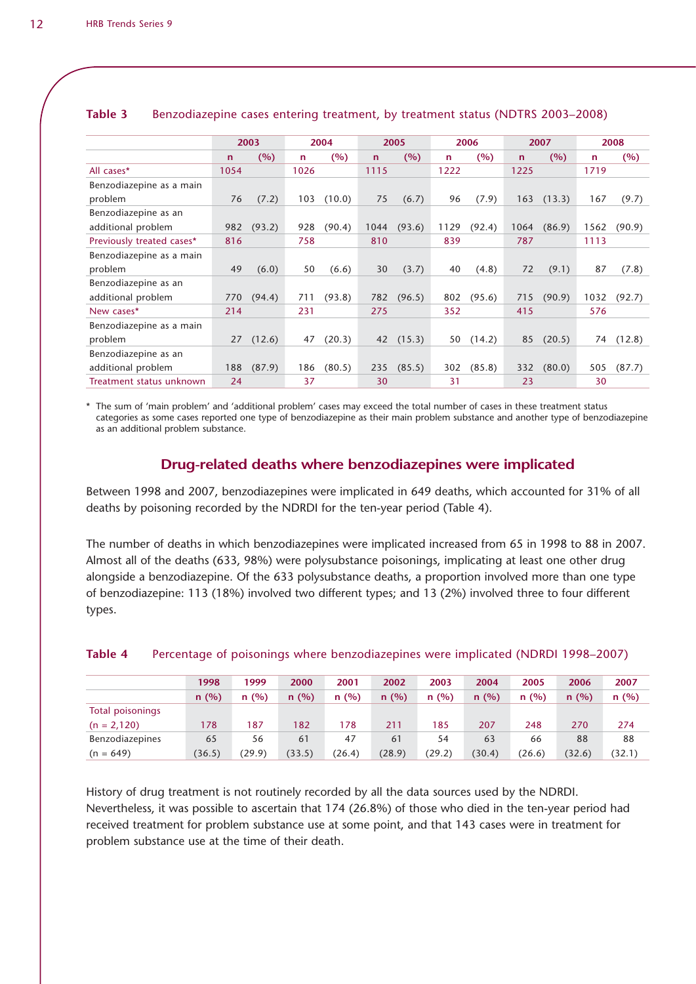|                           |             | 2003   |      | 2004   |             | 2005   |      | 2006   |             | 2007   |      | 2008   |
|---------------------------|-------------|--------|------|--------|-------------|--------|------|--------|-------------|--------|------|--------|
|                           | $\mathbf n$ | (%)    | n    | (%)    | $\mathbf n$ | (%)    | n    | (%)    | $\mathbf n$ | (%)    | n    | (%)    |
| All cases*                | 1054        |        | 1026 |        | 1115        |        | 1222 |        | 1225        |        | 1719 |        |
| Benzodiazepine as a main  |             |        |      |        |             |        |      |        |             |        |      |        |
| problem                   | 76          | (7.2)  | 103  | (10.0) | 75          | (6.7)  | 96   | (7.9)  | 163         | (13.3) | 167  | (9.7)  |
| Benzodiazepine as an      |             |        |      |        |             |        |      |        |             |        |      |        |
| additional problem        | 982         | (93.2) | 928  | (90.4) | 1044        | (93.6) | 1129 | (92.4) | 1064        | (86.9) | 1562 | (90.9) |
| Previously treated cases* | 816         |        | 758  |        | 810         |        | 839  |        | 787         |        | 1113 |        |
| Benzodiazepine as a main  |             |        |      |        |             |        |      |        |             |        |      |        |
| problem                   | 49          | (6.0)  | 50   | (6.6)  | 30          | (3.7)  | 40   | (4.8)  | 72          | (9.1)  | 87   | (7.8)  |
| Benzodiazepine as an      |             |        |      |        |             |        |      |        |             |        |      |        |
| additional problem        | 770         | (94.4) | 711  | (93.8) | 782         | (96.5) | 802  | (95.6) | 715         | (90.9) | 1032 | (92.7) |
| New cases*                | 214         |        | 231  |        | 275         |        | 352  |        | 415         |        | 576  |        |
| Benzodiazepine as a main  |             |        |      |        |             |        |      |        |             |        |      |        |
| problem                   | 27          | (12.6) | 47   | (20.3) | 42          | (15.3) | 50   | (14.2) | 85          | (20.5) | 74   | (12.8) |
| Benzodiazepine as an      |             |        |      |        |             |        |      |        |             |        |      |        |
| additional problem        | 188         | (87.9) | 186  | (80.5) | 235         | (85.5) | 302  | (85.8) | 332         | (80.0) | 505  | (87.7) |
| Treatment status unknown  | 24          |        | 37   |        | 30          |        | 31   |        | 23          |        | 30   |        |

#### **Table 3** Benzodiazepine cases entering treatment, by treatment status (NDTRS 2003–2008)

\* The sum of 'main problem' and 'additional problem' cases may exceed the total number of cases in these treatment status categories as some cases reported one type of benzodiazepine as their main problem substance and another type of benzodiazepine as an additional problem substance.

#### **Drug-related deaths where benzodiazepines were implicated**

Between 1998 and 2007, benzodiazepines were implicated in 649 deaths, which accounted for 31% of all deaths by poisoning recorded by the NDRDI for the ten-year period (Table 4).

The number of deaths in which benzodiazepines were implicated increased from 65 in 1998 to 88 in 2007. Almost all of the deaths (633, 98%) were polysubstance poisonings, implicating at least one other drug alongside a benzodiazepine. Of the 633 polysubstance deaths, a proportion involved more than one type of benzodiazepine: 113 (18%) involved two different types; and 13 (2%) involved three to four different types.

|                  | 1998   | 1999   | 2000   | 2001   | 2002   | 2003   | 2004   | 2005   | 2006   | 2007   |
|------------------|--------|--------|--------|--------|--------|--------|--------|--------|--------|--------|
|                  | n(%)   | n(%)   | n(%)   | n(%)   | n(%)   | n(%)   | n(%)   | n(%)   | n(%)   | n(%)   |
| Total poisonings |        |        |        |        |        |        |        |        |        |        |
| $(n = 2,120)$    | 178    | 187    | 182    | 178    | 211    | 185    | 207    | 248    | 270    | 274    |
| Benzodiazepines  | 65     | 56     | 61     | 47     | 61     | 54     | 63     | 66     | 88     | 88     |
| $(n = 649)$      | (36.5) | (29.9) | (33.5) | (26.4) | (28.9) | (29.2) | (30.4) | (26.6) | (32.6) | (32.1) |

#### **Table 4** Percentage of poisonings where benzodiazepines were implicated (NDRDI 1998–2007)

History of drug treatment is not routinely recorded by all the data sources used by the NDRDI. Nevertheless, it was possible to ascertain that 174 (26.8%) of those who died in the ten-year period had received treatment for problem substance use at some point, and that 143 cases were in treatment for problem substance use at the time of their death.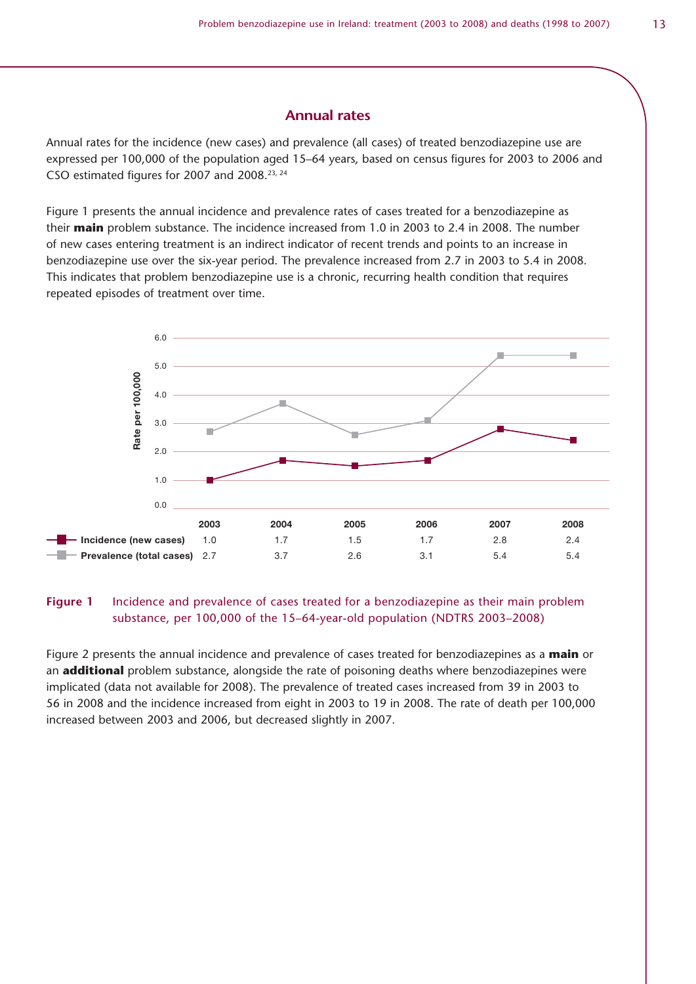#### **Annual rates**

Annual rates for the incidence (new cases) and prevalence (all cases) of treated benzodiazepine use are expressed per 100,000 of the population aged 15–64 years, based on census figures for 2003 to 2006 and CSO estimated figures for 2007 and 2008.23, 24

Figure 1 presents the annual incidence and prevalence rates of cases treated for a benzodiazepine as their **main** problem substance. The incidence increased from 1.0 in 2003 to 2.4 in 2008. The number of new cases entering treatment is an indirect indicator of recent trends and points to an increase in benzodiazepine use over the six-year period. The prevalence increased from 2.7 in 2003 to 5.4 in 2008. This indicates that problem benzodiazepine use is a chronic, recurring health condition that requires repeated episodes of treatment over time.



#### **Figure 1** Incidence and prevalence of cases treated for a benzodiazepine as their main problem substance, per 100,000 of the 15–64-year-old population (NDTRS 2003–2008)

Figure 2 presents the annual incidence and prevalence of cases treated for benzodiazepines as a **main** or an **additional** problem substance, alongside the rate of poisoning deaths where benzodiazepines were implicated (data not available for 2008). The prevalence of treated cases increased from 39 in 2003 to 56 in 2008 and the incidence increased from eight in 2003 to 19 in 2008. The rate of death per 100,000 increased between 2003 and 2006, but decreased slightly in 2007.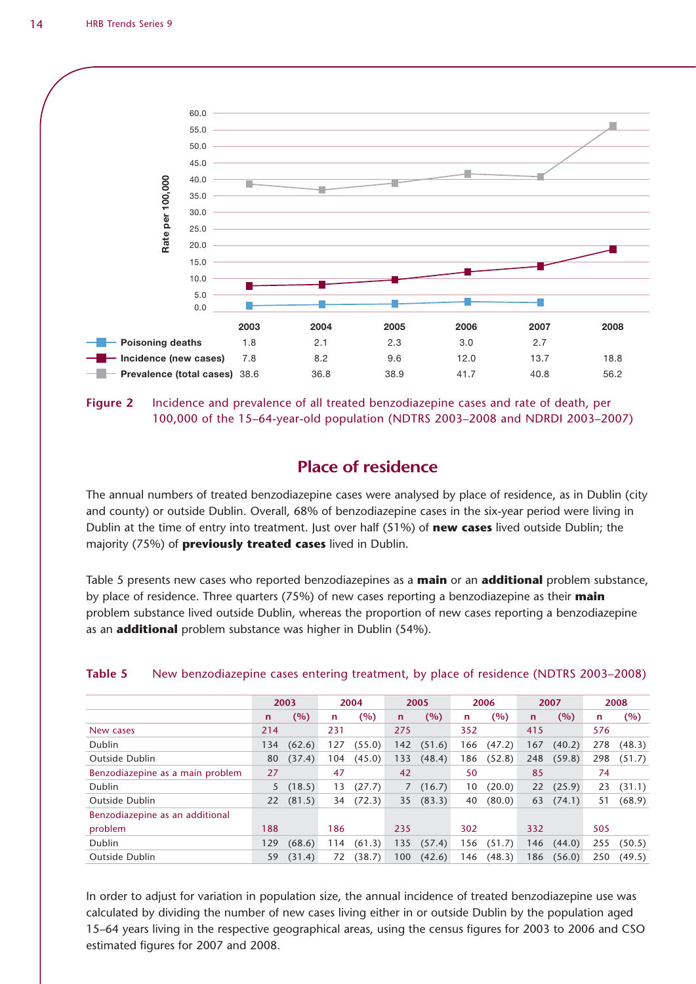

**Figure 2** Incidence and prevalence of all treated benzodiazepine cases and rate of death, per 100,000 of the 15–64-year-old population (NDTRS 2003–2008 and NDRDI 2003–2007)

### **Place of residence**

The annual numbers of treated benzodiazepine cases were analysed by place of residence, as in Dublin (city and county) or outside Dublin. Overall, 68% of benzodiazepine cases in the six-year period were living in Dublin at the time of entry into treatment. Just over half (51%) of **new cases** lived outside Dublin; the majority (75%) of **previously treated cases** lived in Dublin.

Table 5 presents new cases who reported benzodiazepines as a **main** or an **additional** problem substance, by place of residence. Three quarters (75%) of new cases reporting a benzodiazepine as their **main** problem substance lived outside Dublin, whereas the proportion of new cases reporting a benzodiazepine as an **additional** problem substance was higher in Dublin (54%).

|                                  |              | 2003   |     | 2004   |              | 2005   |     | 2006   |              | 2007   |     | 2008   |
|----------------------------------|--------------|--------|-----|--------|--------------|--------|-----|--------|--------------|--------|-----|--------|
|                                  | $\mathsf{n}$ | (%)    | n   | (%)    | $\mathsf{n}$ | (%)    | n   | (%)    | $\mathsf{n}$ | (%)    | n.  | (%)    |
| New cases                        | 214          |        | 231 |        | 275          |        | 352 |        | 415          |        | 576 |        |
| <b>Dublin</b>                    | 134          | (62.6) | 127 | (55.0) | 142          | (51.6) | 166 | (47.2) | 167          | (40.2) | 278 | (48.3) |
| <b>Outside Dublin</b>            | 80           | (37.4) | 104 | (45.0) | 133          | (48.4) | 186 | (52.8) | 248          | (59.8) | 298 | (51.7) |
| Benzodiazepine as a main problem | 27           |        | 47  |        | 42           |        | 50  |        | 85           |        | 74  |        |
| Dublin                           | 5            | (18.5) | 13  | (27.7) | 7            | (16.7) | 10  | (20.0) | 22           | (25.9) | 23  | (31.1) |
| Outside Dublin                   | 22           | (81.5) | 34  | (72.3) | 35           | (83.3) | 40  | (80.0) | 63           | (74.1) | 51  | (68.9) |
| Benzodiazepine as an additional  |              |        |     |        |              |        |     |        |              |        |     |        |
| problem                          | 188          |        | 186 |        | 235          |        | 302 |        | 332          |        | 505 |        |
| Dublin                           | 129          | (68.6) | 114 | (61.3) | 135          | (57.4) | 156 | (51.7) | 146          | (44.0) | 255 | (50.5) |
| <b>Outside Dublin</b>            | 59           | (31.4) | 72  | (38.7) | 100          | (42.6) | 146 | (48.3) | 186          | (56.0) | 250 | (49.5) |

#### **Table 5** New benzodiazepine cases entering treatment, by place of residence (NDTRS 2003–2008)

In order to adjust for variation in population size, the annual incidence of treated benzodiazepine use was calculated by dividing the number of new cases living either in or outside Dublin by the population aged 15–64 years living in the respective geographical areas, using the census figures for 2003 to 2006 and CSO estimated figures for 2007 and 2008.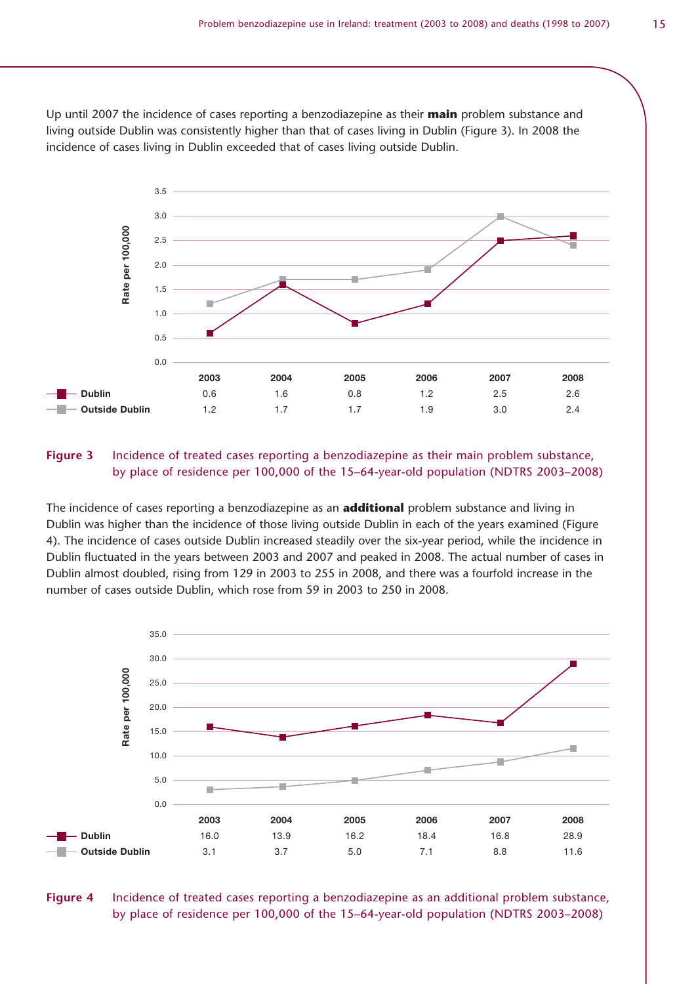Up until 2007 the incidence of cases reporting a benzodiazepine as their **main** problem substance and living outside Dublin was consistently higher than that of cases living in Dublin (Figure 3). In 2008 the incidence of cases living in Dublin exceeded that of cases living outside Dublin.



#### **Figure 3** Incidence of treated cases reporting a benzodiazepine as their main problem substance, by place of residence per 100,000 of the 15–64-year-old population (NDTRS 2003–2008)

The incidence of cases reporting a benzodiazepine as an **additional** problem substance and living in Dublin was higher than the incidence of those living outside Dublin in each of the years examined (Figure 4). The incidence of cases outside Dublin increased steadily over the six-year period, while the incidence in Dublin fluctuated in the years between 2003 and 2007 and peaked in 2008. The actual number of cases in Dublin almost doubled, rising from 129 in 2003 to 255 in 2008, and there was a fourfold increase in the number of cases outside Dublin, which rose from 59 in 2003 to 250 in 2008.



#### **Figure 4** Incidence of treated cases reporting a benzodiazepine as an additional problem substance, by place of residence per 100,000 of the 15–64-year-old population (NDTRS 2003–2008)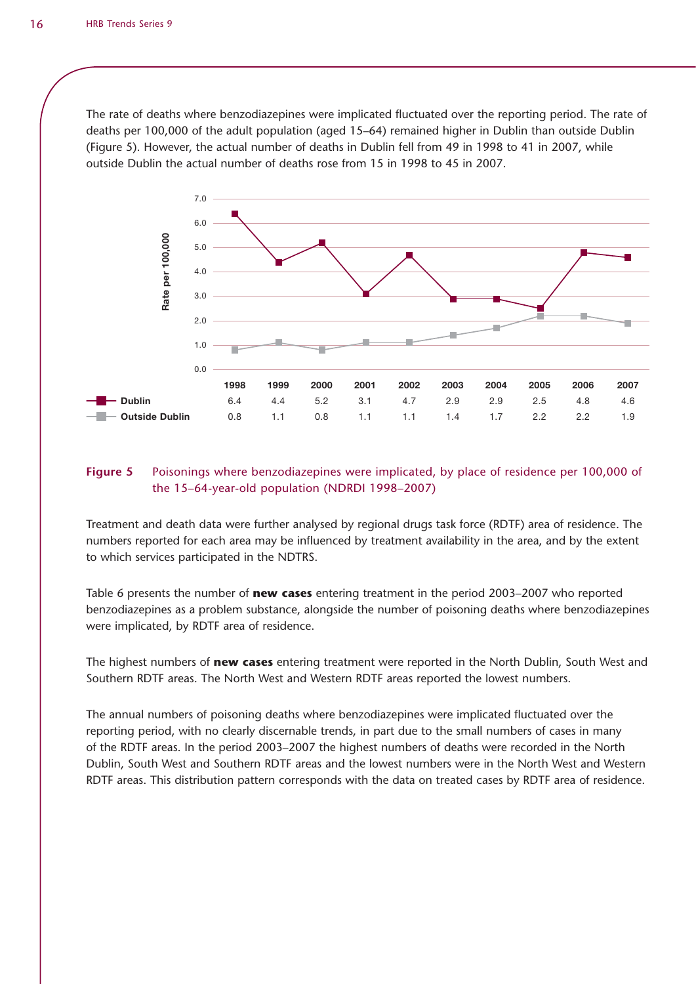The rate of deaths where benzodiazepines were implicated fluctuated over the reporting period. The rate of deaths per 100,000 of the adult population (aged 15–64) remained higher in Dublin than outside Dublin (Figure 5). However, the actual number of deaths in Dublin fell from 49 in 1998 to 41 in 2007, while outside Dublin the actual number of deaths rose from 15 in 1998 to 45 in 2007.



#### **Figure 5** Poisonings where benzodiazepines were implicated, by place of residence per 100,000 of the 15–64-year-old population (NDRDI 1998–2007)

Treatment and death data were further analysed by regional drugs task force (RDTF) area of residence. The numbers reported for each area may be influenced by treatment availability in the area, and by the extent to which services participated in the NDTRS.

Table 6 presents the number of **new cases** entering treatment in the period 2003–2007 who reported benzodiazepines as a problem substance, alongside the number of poisoning deaths where benzodiazepines were implicated, by RDTF area of residence.

The highest numbers of **new cases** entering treatment were reported in the North Dublin, South West and Southern RDTF areas. The North West and Western RDTF areas reported the lowest numbers.

The annual numbers of poisoning deaths where benzodiazepines were implicated fluctuated over the reporting period, with no clearly discernable trends, in part due to the small numbers of cases in many of the RDTF areas. In the period 2003–2007 the highest numbers of deaths were recorded in the North Dublin, South West and Southern RDTF areas and the lowest numbers were in the North West and Western RDTF areas. This distribution pattern corresponds with the data on treated cases by RDTF area of residence.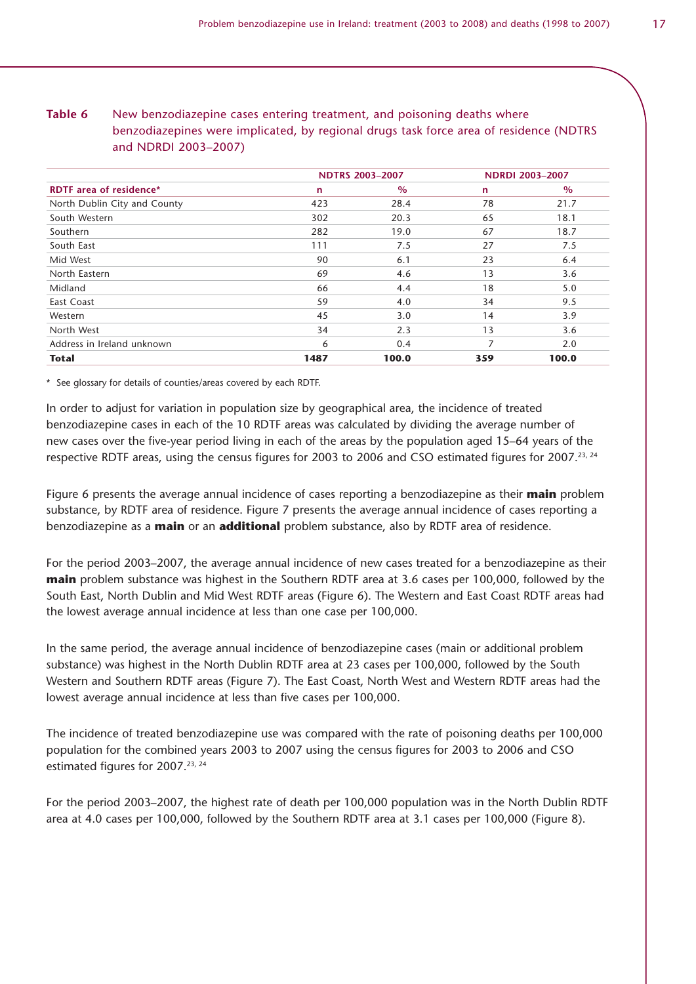| Table 6 | New benzodiazepine cases entering treatment, and poisoning deaths where                 |
|---------|-----------------------------------------------------------------------------------------|
|         | benzodiazepines were implicated, by regional drugs task force area of residence (NDTRS) |
|         | and NDRDI 2003-2007)                                                                    |

|                                |              | <b>NDTRS 2003-2007</b> |              | <b>NDRDI 2003-2007</b> |
|--------------------------------|--------------|------------------------|--------------|------------------------|
| <b>RDTF</b> area of residence* | $\mathsf{n}$ | $\%$                   | $\mathsf{n}$ | $\%$                   |
| North Dublin City and County   | 423          | 28.4                   | 78           | 21.7                   |
| South Western                  | 302          | 20.3                   | 65           | 18.1                   |
| Southern                       | 282          | 19.0                   | 67           | 18.7                   |
| South East                     | 111          | 7.5                    | 27           | 7.5                    |
| Mid West                       | 90           | 6.1                    | 23           | 6.4                    |
| North Eastern                  | 69           | 4.6                    | 13           | 3.6                    |
| Midland                        | 66           | 4.4                    | 18           | 5.0                    |
| East Coast                     | 59           | 4.0                    | 34           | 9.5                    |
| Western                        | 45           | 3.0                    | 14           | 3.9                    |
| North West                     | 34           | 2.3                    | 13           | 3.6                    |
| Address in Ireland unknown     | 6            | 0.4                    |              | 2.0                    |
| <b>Total</b>                   | 1487         | 100.0                  | 359          | 100.0                  |

\* See glossary for details of counties/areas covered by each RDTF.

In order to adjust for variation in population size by geographical area, the incidence of treated benzodiazepine cases in each of the 10 RDTF areas was calculated by dividing the average number of new cases over the five-year period living in each of the areas by the population aged 15–64 years of the respective RDTF areas, using the census figures for 2003 to 2006 and CSO estimated figures for 2007.<sup>23, 24</sup>

Figure 6 presents the average annual incidence of cases reporting a benzodiazepine as their **main** problem substance, by RDTF area of residence. Figure 7 presents the average annual incidence of cases reporting a benzodiazepine as a **main** or an **additional** problem substance, also by RDTF area of residence.

For the period 2003–2007, the average annual incidence of new cases treated for a benzodiazepine as their **main** problem substance was highest in the Southern RDTF area at 3.6 cases per 100,000, followed by the South East, North Dublin and Mid West RDTF areas (Figure 6). The Western and East Coast RDTF areas had the lowest average annual incidence at less than one case per 100,000.

In the same period, the average annual incidence of benzodiazepine cases (main or additional problem substance) was highest in the North Dublin RDTF area at 23 cases per 100,000, followed by the South Western and Southern RDTF areas (Figure 7). The East Coast, North West and Western RDTF areas had the lowest average annual incidence at less than five cases per 100,000.

The incidence of treated benzodiazepine use was compared with the rate of poisoning deaths per 100,000 population for the combined years 2003 to 2007 using the census figures for 2003 to 2006 and CSO estimated figures for 2007.<sup>23, 24</sup>

For the period 2003–2007, the highest rate of death per 100,000 population was in the North Dublin RDTF area at 4.0 cases per 100,000, followed by the Southern RDTF area at 3.1 cases per 100,000 (Figure 8).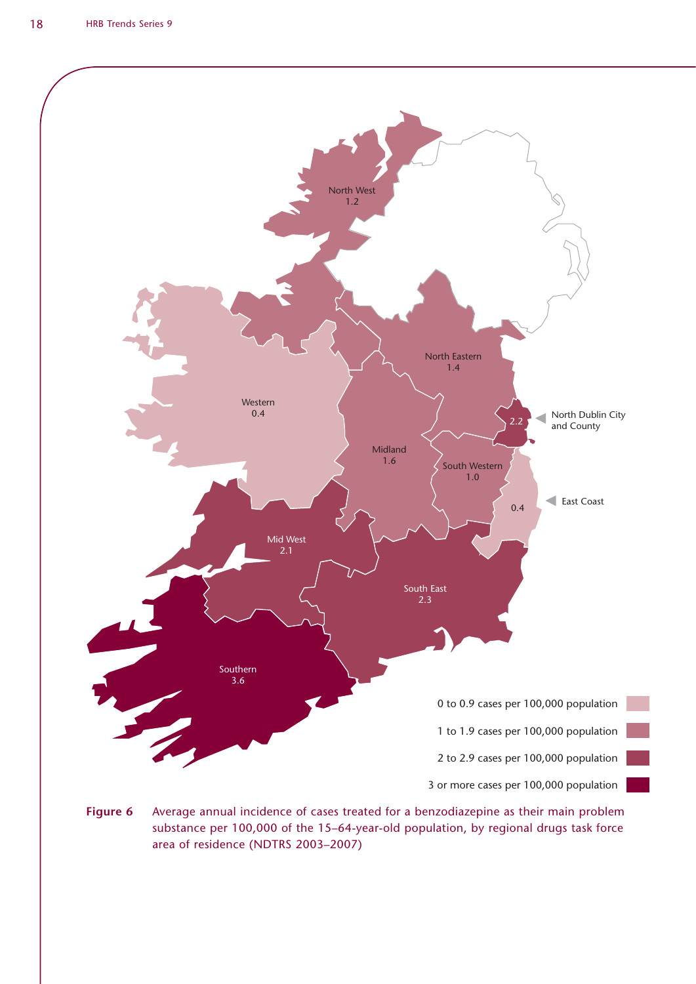

**Figure 6** Average annual incidence of cases treated for a benzodiazepine as their main problem substance per 100,000 of the 15–64-year-old population, by regional drugs task force area of residence (NDTRS 2003–2007)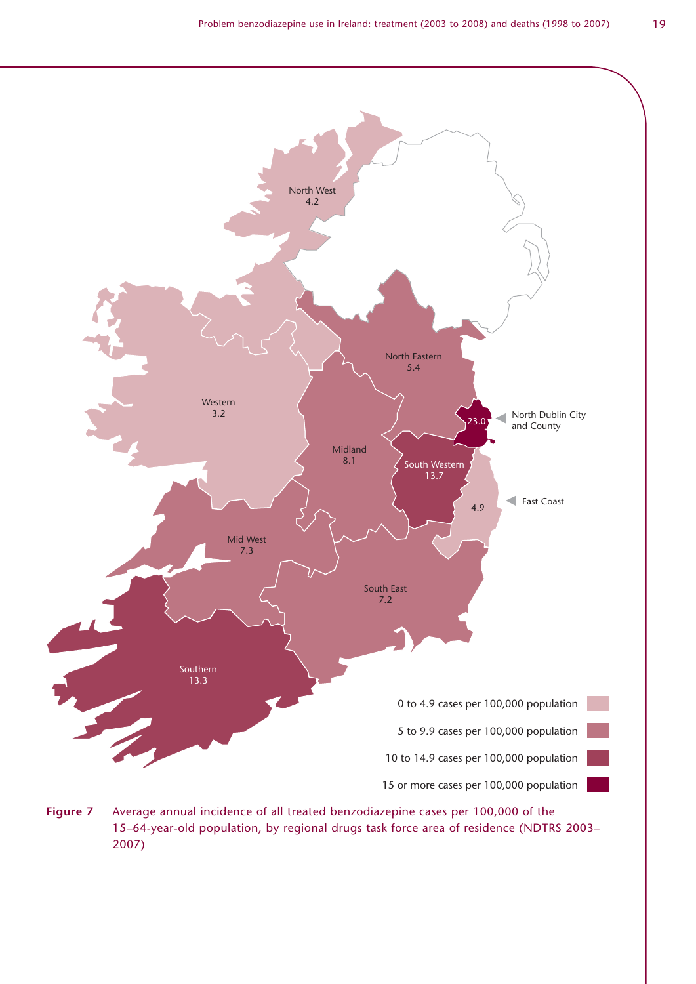

**Figure 7** Average annual incidence of all treated benzodiazepine cases per 100,000 of the 15–64-year-old population, by regional drugs task force area of residence (NDTRS 2003– 2007)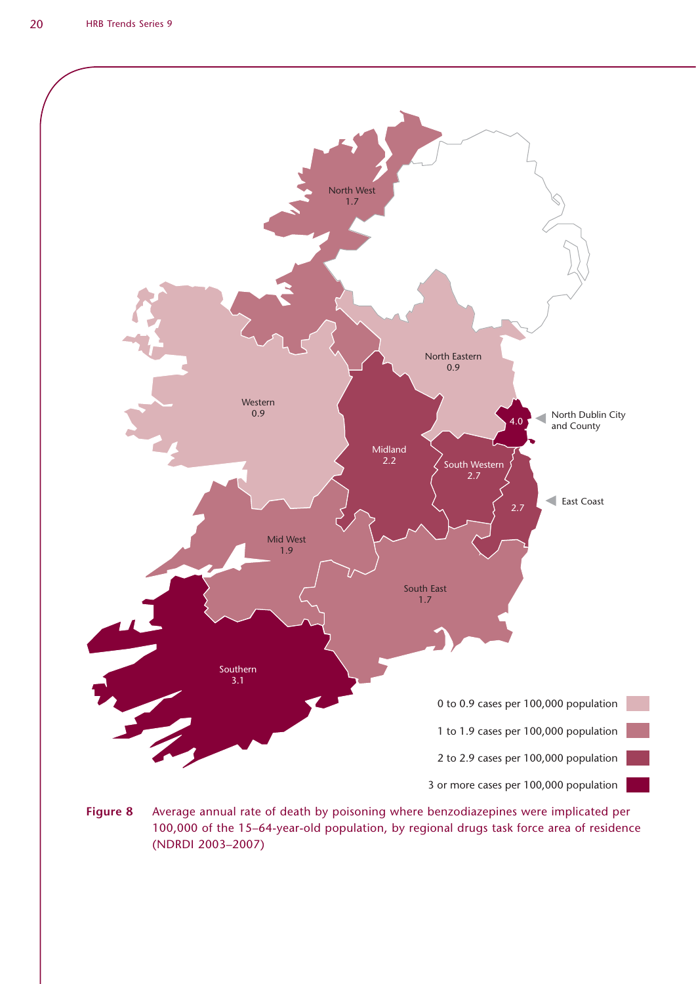

**Figure 8** Average annual rate of death by poisoning where benzodiazepines were implicated per 100,000 of the 15–64-year-old population, by regional drugs task force area of residence (NDRDI 2003–2007)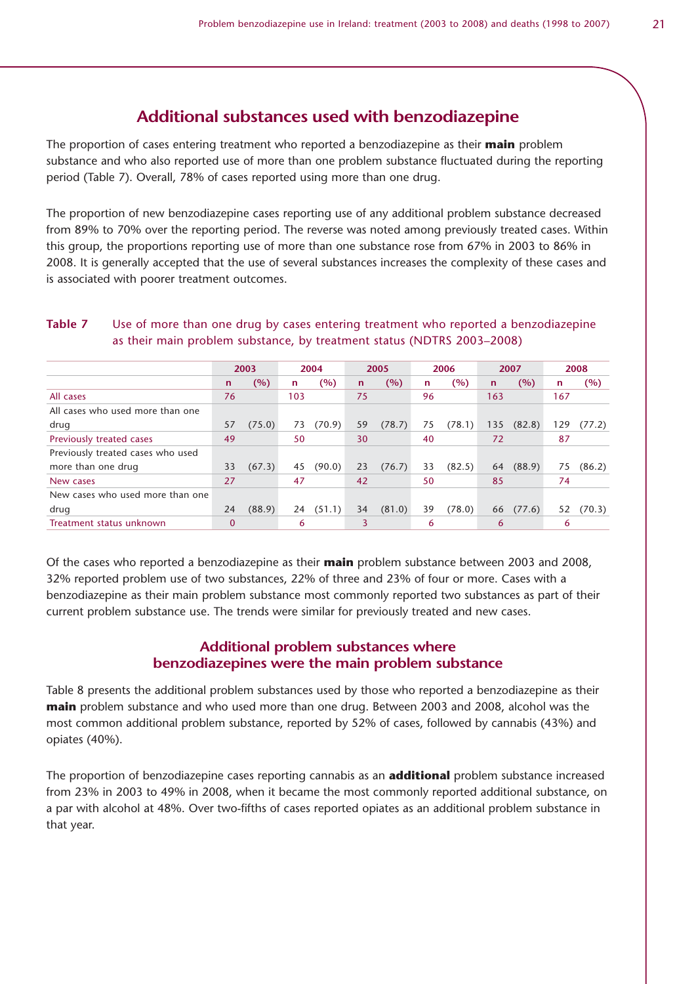The proportion of cases entering treatment who reported a benzodiazepine as their **main** problem substance and who also reported use of more than one problem substance fluctuated during the reporting period (Table 7). Overall, 78% of cases reported using more than one drug.

The proportion of new benzodiazepine cases reporting use of any additional problem substance decreased from 89% to 70% over the reporting period. The reverse was noted among previously treated cases. Within this group, the proportions reporting use of more than one substance rose from 67% in 2003 to 86% in 2008. It is generally accepted that the use of several substances increases the complexity of these cases and is associated with poorer treatment outcomes.

| Table 7 | Use of more than one drug by cases entering treatment who reported a benzodiazepine |
|---------|-------------------------------------------------------------------------------------|
|         | as their main problem substance, by treatment status (NDTRS 2003-2008)              |

|                                   |             | 2003   |     | 2004   |              | 2005   |    | 2006   |              | 2007   |     | 2008   |
|-----------------------------------|-------------|--------|-----|--------|--------------|--------|----|--------|--------------|--------|-----|--------|
|                                   | n           | (%)    | n   | (%)    | $\mathsf{n}$ | (%)    | n  | (%)    | $\mathsf{n}$ | (%)    | n   | (%)    |
| All cases                         | 76          |        | 103 |        | 75           |        | 96 |        | 163          |        | 167 |        |
| All cases who used more than one  |             |        |     |        |              |        |    |        |              |        |     |        |
| drug                              | 57          | (75.0) | 73  | (70.9) | 59           | (78.7) | 75 | (78.1) | 135          | (82.8) | 129 | (77.2) |
| Previously treated cases          | 49          |        | 50  |        | 30           |        | 40 |        | 72           |        | 87  |        |
| Previously treated cases who used |             |        |     |        |              |        |    |        |              |        |     |        |
| more than one drug                | 33          | (67.3) | 45  | (90.0) | 23           | (76.7) | 33 | (82.5) | 64           | (88.9) | 75  | (86.2) |
| New cases                         | 27          |        | 47  |        | 42           |        | 50 |        | 85           |        | 74  |        |
| New cases who used more than one  |             |        |     |        |              |        |    |        |              |        |     |        |
| drug                              | 24          | (88.9) | 24  | (51.1) | 34           | (81.0) | 39 | (78.0) | 66           | (77.6) | 52  | (70.3) |
| Treatment status unknown          | $\mathbf 0$ |        | 6   |        | 3            |        | 6  |        | 6            |        | 6   |        |

Of the cases who reported a benzodiazepine as their **main** problem substance between 2003 and 2008, 32% reported problem use of two substances, 22% of three and 23% of four or more. Cases with a benzodiazepine as their main problem substance most commonly reported two substances as part of their current problem substance use. The trends were similar for previously treated and new cases.

#### **Additional problem substances where benzodiazepines were the main problem substance**

Table 8 presents the additional problem substances used by those who reported a benzodiazepine as their **main** problem substance and who used more than one drug. Between 2003 and 2008, alcohol was the most common additional problem substance, reported by 52% of cases, followed by cannabis (43%) and opiates (40%).

The proportion of benzodiazepine cases reporting cannabis as an **additional** problem substance increased from 23% in 2003 to 49% in 2008, when it became the most commonly reported additional substance, on a par with alcohol at 48%. Over two-fifths of cases reported opiates as an additional problem substance in that year.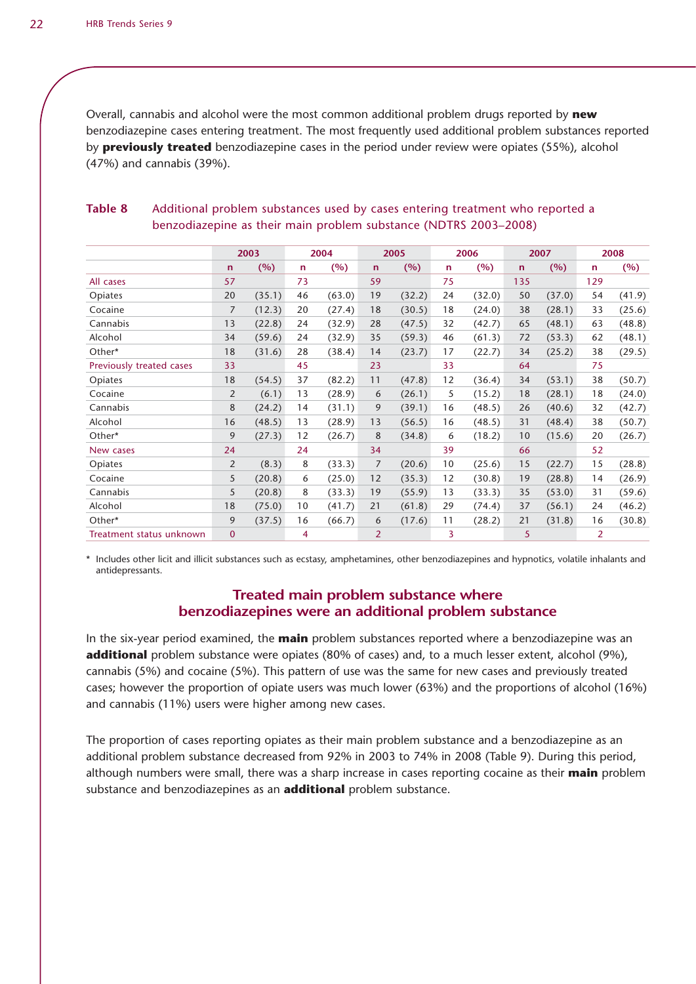Overall, cannabis and alcohol were the most common additional problem drugs reported by **new** benzodiazepine cases entering treatment. The most frequently used additional problem substances reported by **previously treated** benzodiazepine cases in the period under review were opiates (55%), alcohol (47%) and cannabis (39%).

|                          |                | 2003   |              | 2004   |              | 2005   |    | 2006   |              | 2007   |     | 2008   |
|--------------------------|----------------|--------|--------------|--------|--------------|--------|----|--------|--------------|--------|-----|--------|
|                          | $\mathsf{n}$   | (%)    | $\mathsf{n}$ | (%)    | $\mathsf{n}$ | (%)    | n  | (%)    | $\mathsf{n}$ | (%)    | n   | (%)    |
| All cases                | 57             |        | 73           |        | 59           |        | 75 |        | 135          |        | 129 |        |
| Opiates                  | 20             | (35.1) | 46           | (63.0) | 19           | (32.2) | 24 | (32.0) | 50           | (37.0) | 54  | (41.9) |
| Cocaine                  | 7              | (12.3) | 20           | (27.4) | 18           | (30.5) | 18 | (24.0) | 38           | (28.1) | 33  | (25.6) |
| Cannabis                 | 13             | (22.8) | 24           | (32.9) | 28           | (47.5) | 32 | (42.7) | 65           | (48.1) | 63  | (48.8) |
| Alcohol                  | 34             | (59.6) | 24           | (32.9) | 35           | (59.3) | 46 | (61.3) | 72           | (53.3) | 62  | (48.1) |
| Other*                   | 18             | (31.6) | 28           | (38.4) | 14           | (23.7) | 17 | (22.7) | 34           | (25.2) | 38  | (29.5) |
| Previously treated cases | 33             |        | 45           |        | 23           |        | 33 |        | 64           |        | 75  |        |
| Opiates                  | 18             | (54.5) | 37           | (82.2) | 11           | (47.8) | 12 | (36.4) | 34           | (53.1) | 38  | (50.7) |
| Cocaine                  | $\overline{2}$ | (6.1)  | 13           | (28.9) | 6            | (26.1) | 5  | (15.2) | 18           | (28.1) | 18  | (24.0) |
| Cannabis                 | 8              | (24.2) | 14           | (31.1) | 9            | (39.1) | 16 | (48.5) | 26           | (40.6) | 32  | (42.7) |
| Alcohol                  | 16             | (48.5) | 13           | (28.9) | 13           | (56.5) | 16 | (48.5) | 31           | (48.4) | 38  | (50.7) |
| Other*                   | 9              | (27.3) | 12           | (26.7) | 8            | (34.8) | 6  | (18.2) | 10           | (15.6) | 20  | (26.7) |
| New cases                | 24             |        | 24           |        | 34           |        | 39 |        | 66           |        | 52  |        |
| Opiates                  | $\overline{2}$ | (8.3)  | 8            | (33.3) | 7            | (20.6) | 10 | (25.6) | 15           | (22.7) | 15  | (28.8) |
| Cocaine                  | 5              | (20.8) | 6            | (25.0) | 12           | (35.3) | 12 | (30.8) | 19           | (28.8) | 14  | (26.9) |
| Cannabis                 | 5              | (20.8) | 8            | (33.3) | 19           | (55.9) | 13 | (33.3) | 35           | (53.0) | 31  | (59.6) |
| Alcohol                  | 18             | (75.0) | 10           | (41.7) | 21           | (61.8) | 29 | (74.4) | 37           | (56.1) | 24  | (46.2) |
| Other*                   | 9              | (37.5) | 16           | (66.7) | 6            | (17.6) | 11 | (28.2) | 21           | (31.8) | 16  | (30.8) |
| Treatment status unknown | $\mathbf{0}$   |        | 4            |        | 2            |        | 3  |        | 5            |        | 2   |        |

#### **Table 8** Additional problem substances used by cases entering treatment who reported a benzodiazepine as their main problem substance (NDTRS 2003–2008)

\* Includes other licit and illicit substances such as ecstasy, amphetamines, other benzodiazepines and hypnotics, volatile inhalants and antidepressants.

#### **Treated main problem substance where benzodiazepines were an additional problem substance**

In the six-year period examined, the **main** problem substances reported where a benzodiazepine was an **additional** problem substance were opiates (80% of cases) and, to a much lesser extent, alcohol (9%), cannabis (5%) and cocaine (5%). This pattern of use was the same for new cases and previously treated cases; however the proportion of opiate users was much lower (63%) and the proportions of alcohol (16%) and cannabis (11%) users were higher among new cases.

The proportion of cases reporting opiates as their main problem substance and a benzodiazepine as an additional problem substance decreased from 92% in 2003 to 74% in 2008 (Table 9). During this period, although numbers were small, there was a sharp increase in cases reporting cocaine as their **main** problem substance and benzodiazepines as an **additional** problem substance.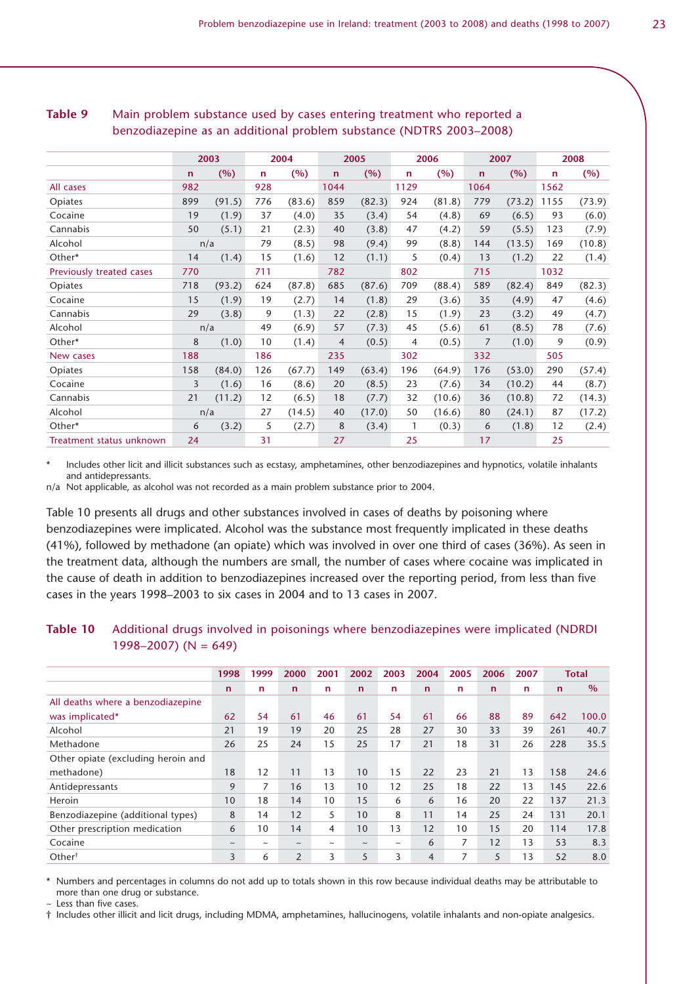|                          |     | 2003   |              | 2004   |                | 2005   |              | 2006   |              | 2007   |              | 2008   |
|--------------------------|-----|--------|--------------|--------|----------------|--------|--------------|--------|--------------|--------|--------------|--------|
|                          | n   | (%)    | $\mathsf{n}$ | (%)    | $\mathbf n$    | (%)    | n            | (%)    | $\mathsf{n}$ | (%)    | $\mathsf{n}$ | (%)    |
| All cases                | 982 |        | 928          |        | 1044           |        | 1129         |        | 1064         |        | 1562         |        |
| Opiates                  | 899 | (91.5) | 776          | (83.6) | 859            | (82.3) | 924          | (81.8) | 779          | (73.2) | 1155         | (73.9) |
| Cocaine                  | 19  | (1.9)  | 37           | (4.0)  | 35             | (3.4)  | 54           | (4.8)  | 69           | (6.5)  | 93           | (6.0)  |
| Cannabis                 | 50  | (5.1)  | 21           | (2.3)  | 40             | (3.8)  | 47           | (4.2)  | 59           | (5.5)  | 123          | (7.9)  |
| Alcohol                  |     | n/a    | 79           | (8.5)  | 98             | (9.4)  | 99           | (8.8)  | 144          | (13.5) | 169          | (10.8) |
| Other*                   | 14  | (1.4)  | 15           | (1.6)  | 12             | (1.1)  | 5            | (0.4)  | 13           | (1.2)  | 22           | (1.4)  |
| Previously treated cases | 770 |        | 711          |        | 782            |        | 802          |        | 715          |        | 1032         |        |
| Opiates                  | 718 | (93.2) | 624          | (87.8) | 685            | (87.6) | 709          | (88.4) | 589          | (82.4) | 849          | (82.3) |
| Cocaine                  | 15  | (1.9)  | 19           | (2.7)  | 14             | (1.8)  | 29           | (3.6)  | 35           | (4.9)  | 47           | (4.6)  |
| Cannabis                 | 29  | (3.8)  | 9            | (1.3)  | 22             | (2.8)  | 15           | (1.9)  | 23           | (3.2)  | 49           | (4.7)  |
| Alcohol                  |     | n/a    | 49           | (6.9)  | 57             | (7.3)  | 45           | (5.6)  | 61           | (8.5)  | 78           | (7.6)  |
| Other*                   | 8   | (1.0)  | 10           | (1.4)  | $\overline{4}$ | (0.5)  | 4            | (0.5)  | 7            | (1.0)  | 9            | (0.9)  |
| New cases                | 188 |        | 186          |        | 235            |        | 302          |        | 332          |        | 505          |        |
| Opiates                  | 158 | (84.0) | 126          | (67.7) | 149            | (63.4) | 196          | (64.9) | 176          | (53.0) | 290          | (57.4) |
| Cocaine                  | 3   | (1.6)  | 16           | (8.6)  | 20             | (8.5)  | 23           | (7.6)  | 34           | (10.2) | 44           | (8.7)  |
| Cannabis                 | 21  | (11.2) | 12           | (6.5)  | 18             | (7.7)  | 32           | (10.6) | 36           | (10.8) | 72           | (14.3) |
| Alcohol                  |     | n/a    | 27           | (14.5) | 40             | (17.0) | 50           | (16.6) | 80           | (24.1) | 87           | (17.2) |
| Other*                   | 6   | (3.2)  | 5            | (2.7)  | 8              | (3.4)  | $\mathbf{1}$ | (0.3)  | 6            | (1.8)  | 12           | (2.4)  |
| Treatment status unknown | 24  |        | 31           |        | 27             |        | 25           |        | 17           |        | 25           |        |

#### **Table 9** Main problem substance used by cases entering treatment who reported a benzodiazepine as an additional problem substance (NDTRS 2003–2008)

\* Includes other licit and illicit substances such as ecstasy, amphetamines, other benzodiazepines and hypnotics, volatile inhalants and antidepressants.

n/a Not applicable, as alcohol was not recorded as a main problem substance prior to 2004.

Table 10 presents all drugs and other substances involved in cases of deaths by poisoning where benzodiazepines were implicated. Alcohol was the substance most frequently implicated in these deaths (41%), followed by methadone (an opiate) which was involved in over one third of cases (36%). As seen in the treatment data, although the numbers are small, the number of cases where cocaine was implicated in the cause of death in addition to benzodiazepines increased over the reporting period, from less than five cases in the years 1998–2003 to six cases in 2004 and to 13 cases in 2007.

#### **Table 10** Additional drugs involved in poisonings where benzodiazepines were implicated (NDRDI 1998–2007) ( $N = 649$ )

|                                    | 1998       | 1999        | 2000           | 2001                  | 2002                      | 2003                      | 2004           | 2005 | 2006 | 2007 |             | <b>Total</b>  |
|------------------------------------|------------|-------------|----------------|-----------------------|---------------------------|---------------------------|----------------|------|------|------|-------------|---------------|
|                                    | n          | $\mathbf n$ | n              | n                     | $\mathsf{n}$              | n                         | $\mathbf n$    | n    | n    | n.   | $\mathbf n$ | $\frac{0}{0}$ |
| All deaths where a benzodiazepine  |            |             |                |                       |                           |                           |                |      |      |      |             |               |
| was implicated*                    | 62         | 54          | 61             | 46                    | 61                        | 54                        | 61             | 66   | 88   | 89   | 642         | 100.0         |
| Alcohol                            | 21         | 19          | 19             | 20                    | 25                        | 28                        | 27             | 30   | 33   | 39   | 261         | 40.7          |
| Methadone                          | 26         | 25          | 24             | 15                    | 25                        | 17                        | 21             | 18   | 31   | 26   | 228         | 35.5          |
| Other opiate (excluding heroin and |            |             |                |                       |                           |                           |                |      |      |      |             |               |
| methadone)                         | 18         | 12          | 11             | 13                    | 10                        | 15                        | 22             | 23   | 21   | 13   | 158         | 24.6          |
| Antidepressants                    | 9          | 7           | 16             | 13                    | 10                        | 12                        | 25             | 18   | 22   | 13   | 145         | 22.6          |
| Heroin                             | 10         | 18          | 14             | 10                    | 15                        | 6                         | 6              | 16   | 20   | 22   | 137         | 21.3          |
| Benzodiazepine (additional types)  | 8          | 14          | 12             | 5                     | 10                        | 8                         | 11             | 14   | 25   | 24   | 131         | 20.1          |
| Other prescription medication      | 6          | 10          | 14             | 4                     | 10                        | 13                        | 12             | 10   | 15   | 20   | 114         | 17.8          |
| Cocaine                            | $\tilde{}$ | $\tilde{}$  | $\sim$         | $\tilde{\phantom{a}}$ | $\widetilde{\phantom{m}}$ | $\widetilde{\phantom{m}}$ | 6              | 7    | 12   | 13   | 53          | 8.3           |
| Other <sup>†</sup>                 | 3          | 6           | $\overline{2}$ | 3                     | 5                         | 3                         | $\overline{4}$ | 7    | 5    | 13   | 52          | 8.0           |

\* Numbers and percentages in columns do not add up to totals shown in this row because individual deaths may be attributable to more than one drug or substance.  $\sim$  Less than five cases.

† Includes other illicit and licit drugs, including MDMA, amphetamines, hallucinogens, volatile inhalants and non-opiate analgesics.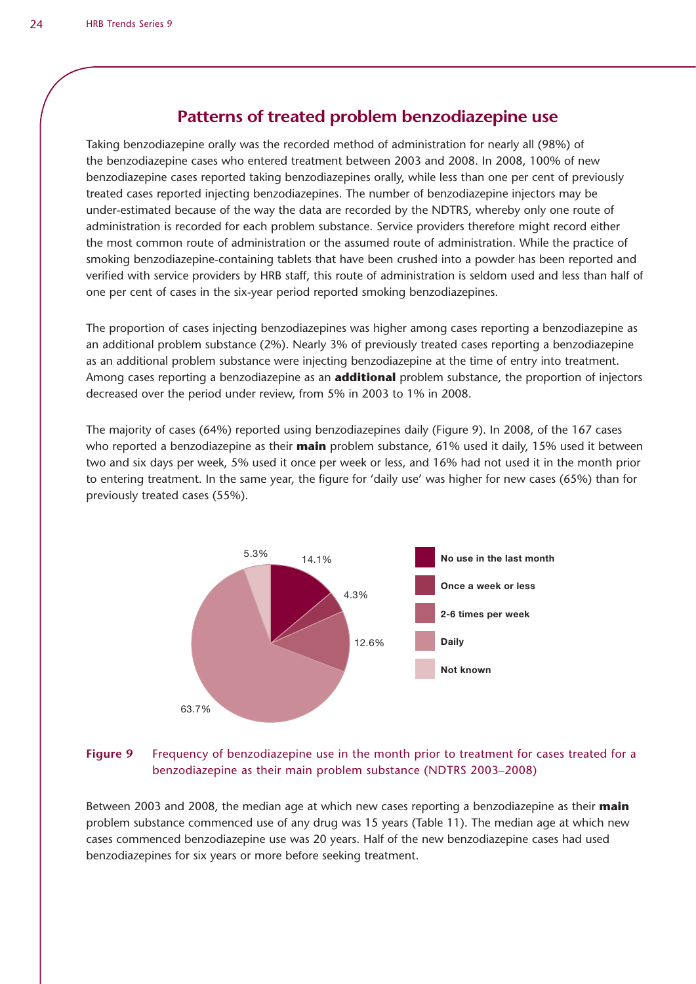### **Patterns of treated problem benzodiazepine use**

Taking benzodiazepine orally was the recorded method of administration for nearly all (98%) of the benzodiazepine cases who entered treatment between 2003 and 2008. In 2008, 100% of new benzodiazepine cases reported taking benzodiazepines orally, while less than one per cent of previously treated cases reported injecting benzodiazepines. The number of benzodiazepine injectors may be under-estimated because of the way the data are recorded by the NDTRS, whereby only one route of administration is recorded for each problem substance. Service providers therefore might record either the most common route of administration or the assumed route of administration. While the practice of smoking benzodiazepine-containing tablets that have been crushed into a powder has been reported and verified with service providers by HRB staff, this route of administration is seldom used and less than half of one per cent of cases in the six-year period reported smoking benzodiazepines.

The proportion of cases injecting benzodiazepines was higher among cases reporting a benzodiazepine as an additional problem substance (2%). Nearly 3% of previously treated cases reporting a benzodiazepine as an additional problem substance were injecting benzodiazepine at the time of entry into treatment. Among cases reporting a benzodiazepine as an **additional** problem substance, the proportion of injectors decreased over the period under review, from 5% in 2003 to 1% in 2008.

The majority of cases (64%) reported using benzodiazepines daily (Figure 9). In 2008, of the 167 cases who reported a benzodiazepine as their **main** problem substance, 61% used it daily, 15% used it between two and six days per week, 5% used it once per week or less, and 16% had not used it in the month prior to entering treatment. In the same year, the figure for 'daily use' was higher for new cases (65%) than for previously treated cases (55%).



#### **Figure 9** Frequency of benzodiazepine use in the month prior to treatment for cases treated for a benzodiazepine as their main problem substance (NDTRS 2003–2008)

Between 2003 and 2008, the median age at which new cases reporting a benzodiazepine as their **main** problem substance commenced use of any drug was 15 years (Table 11). The median age at which new cases commenced benzodiazepine use was 20 years. Half of the new benzodiazepine cases had used benzodiazepines for six years or more before seeking treatment.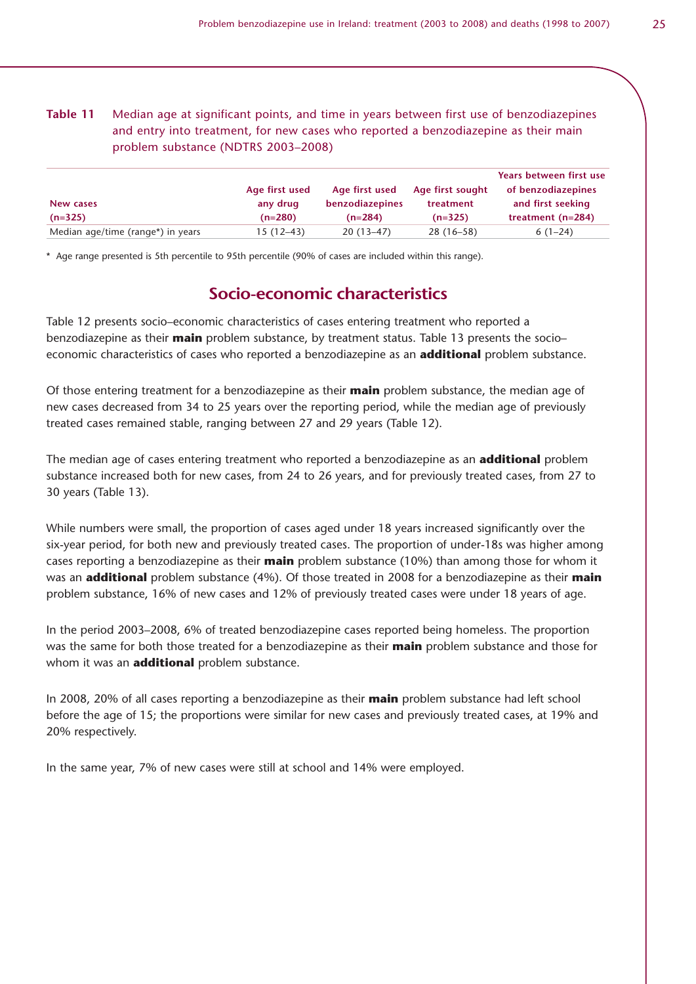**Table 11** Median age at significant points, and time in years between first use of benzodiazepines and entry into treatment, for new cases who reported a benzodiazepine as their main problem substance (NDTRS 2003–2008)

|                                   |                |                 |                  | Years between first use |
|-----------------------------------|----------------|-----------------|------------------|-------------------------|
|                                   | Age first used | Age first used  | Age first sought | of benzodiazepines      |
| New cases                         | any drug       | benzodiazepines | treatment        | and first seeking       |
| $(n=325)$                         | $(n=280)$      | $(n=284)$       | $(n=325)$        | treatment $(n=284)$     |
| Median age/time (range*) in years | $15(12-43)$    | $20(13-47)$     | $28(16-58)$      | $6(1-24)$               |

\* Age range presented is 5th percentile to 95th percentile (90% of cases are included within this range).

### **Socio-economic characteristics**

Table 12 presents socio–economic characteristics of cases entering treatment who reported a benzodiazepine as their **main** problem substance, by treatment status. Table 13 presents the socio– economic characteristics of cases who reported a benzodiazepine as an **additional** problem substance.

Of those entering treatment for a benzodiazepine as their **main** problem substance, the median age of new cases decreased from 34 to 25 years over the reporting period, while the median age of previously treated cases remained stable, ranging between 27 and 29 years (Table 12).

The median age of cases entering treatment who reported a benzodiazepine as an **additional** problem substance increased both for new cases, from 24 to 26 years, and for previously treated cases, from 27 to 30 years (Table 13).

While numbers were small, the proportion of cases aged under 18 years increased significantly over the six-year period, for both new and previously treated cases. The proportion of under-18s was higher among cases reporting a benzodiazepine as their **main** problem substance (10%) than among those for whom it was an **additional** problem substance (4%). Of those treated in 2008 for a benzodiazepine as their **main** problem substance, 16% of new cases and 12% of previously treated cases were under 18 years of age.

In the period 2003–2008, 6% of treated benzodiazepine cases reported being homeless. The proportion was the same for both those treated for a benzodiazepine as their **main** problem substance and those for whom it was an **additional** problem substance.

In 2008, 20% of all cases reporting a benzodiazepine as their **main** problem substance had left school before the age of 15; the proportions were similar for new cases and previously treated cases, at 19% and 20% respectively.

In the same year, 7% of new cases were still at school and 14% were employed.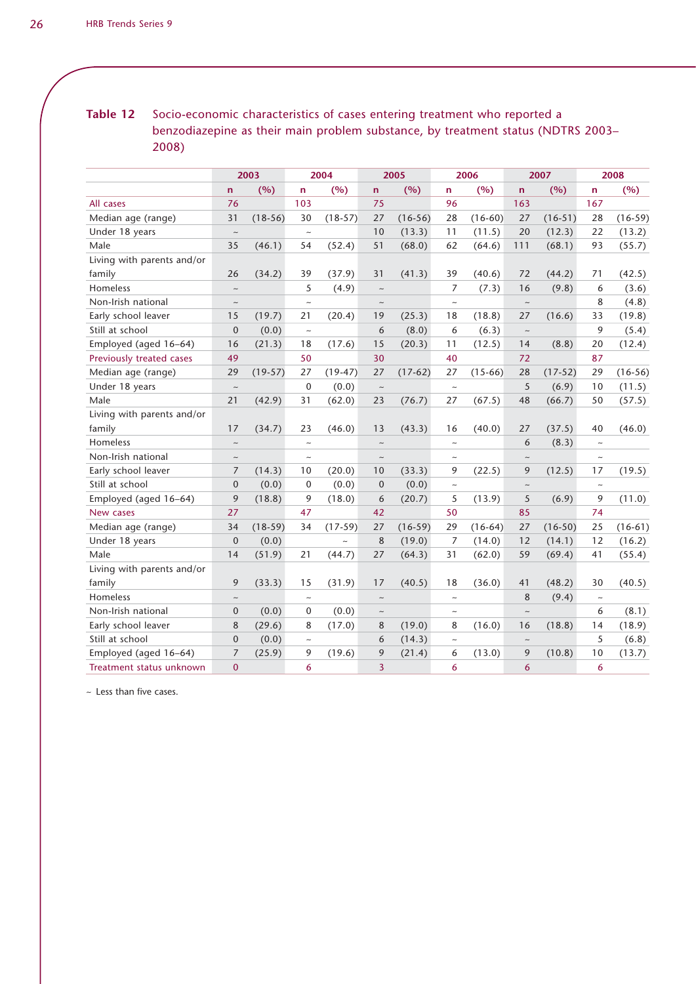**Table 12** Socio-economic characteristics of cases entering treatment who reported a benzodiazepine as their main problem substance, by treatment status (NDTRS 2003– 2008)

|                            |                | 2003      |                           | 2004       |                         | 2005      |                           | 2006      |                           | 2007      |                           | 2008      |
|----------------------------|----------------|-----------|---------------------------|------------|-------------------------|-----------|---------------------------|-----------|---------------------------|-----------|---------------------------|-----------|
|                            | $\mathsf{n}$   | (%)       | n                         | (%)        | $\mathsf{n}$            | (%)       | n                         | (%)       | $\overline{ }$            | (%)       | n                         | (%)       |
| All cases                  | 76             |           | 103                       |            | 75                      |           | 96                        |           | 163                       |           | 167                       |           |
| Median age (range)         | 31             | $(18-56)$ | 30                        | $(18-57)$  | 27                      | $(16-56)$ | 28                        | $(16-60)$ | 27                        | $(16-51)$ | 28                        | $(16-59)$ |
| Under 18 years             | $\sim$         |           | $\thicksim$               |            | 10                      | (13.3)    | 11                        | (11.5)    | 20                        | (12.3)    | 22                        | (13.2)    |
| Male                       | 35             | (46.1)    | 54                        | (52.4)     | 51                      | (68.0)    | 62                        | (64.6)    | 111                       | (68.1)    | 93                        | (55.7)    |
| Living with parents and/or |                |           |                           |            |                         |           |                           |           |                           |           |                           |           |
| family                     | 26             | (34.2)    | 39                        | (37.9)     | 31                      | (41.3)    | 39                        | (40.6)    | 72                        | (44.2)    | 71                        | (42.5)    |
| Homeless                   | $\thicksim$    |           | 5                         | (4.9)      | $\sim$                  |           | $\overline{7}$            | (7.3)     | 16                        | (9.8)     | 6                         | (3.6)     |
| Non-Irish national         | $\thicksim$    |           | $\sim$                    |            | $\sim$                  |           | $\sim$                    |           | $\sim$                    |           | 8                         | (4.8)     |
| Early school leaver        | 15             | (19.7)    | 21                        | (20.4)     | 19                      | (25.3)    | 18                        | (18.8)    | 27                        | (16.6)    | 33                        | (19.8)    |
| Still at school            | $\mathbf{0}$   | (0.0)     | $\sim$                    |            | 6                       | (8.0)     | 6                         | (6.3)     | $\sim$                    |           | 9                         | (5.4)     |
| Employed (aged 16-64)      | 16             | (21.3)    | 18                        | (17.6)     | 15                      | (20.3)    | 11                        | (12.5)    | 14                        | (8.8)     | 20                        | (12.4)    |
| Previously treated cases   | 49             |           | 50                        |            | 30                      |           | 40                        |           | 72                        |           | 87                        |           |
| Median age (range)         | 29             | $(19-57)$ | 27                        | $(19-47)$  | 27                      | $(17-62)$ | 27                        | $(15-66)$ | 28                        | $(17-52)$ | 29                        | $(16-56)$ |
| Under 18 years             | $\thicksim$    |           | $\mathbf 0$               | (0.0)      | $\thicksim$             |           | $\widetilde{\phantom{m}}$ |           | 5                         | (6.9)     | 10                        | (11.5)    |
| Male                       | 21             | (42.9)    | 31                        | (62.0)     | 23                      | (76.7)    | 27                        | (67.5)    | 48                        | (66.7)    | 50                        | (57.5)    |
| Living with parents and/or |                |           |                           |            |                         |           |                           |           |                           |           |                           |           |
| family                     | 17             | (34.7)    | 23                        | (46.0)     | 13                      | (43.3)    | 16                        | (40.0)    | 27                        | (37.5)    | 40                        | (46.0)    |
| Homeless                   | $\sim$         |           | $\sim$                    |            | $\sim$                  |           | $\sim$                    |           | 6                         | (8.3)     | $\sim$                    |           |
| Non-Irish national         | $\sim$         |           | $\sim$                    |            | $\sim$                  |           | $\sim$                    |           | $\sim$                    |           | $\sim$                    |           |
| Early school leaver        | $\overline{7}$ | (14.3)    | 10                        | (20.0)     | 10                      | (33.3)    | 9                         | (22.5)    | 9                         | (12.5)    | 17                        | (19.5)    |
| Still at school            | $\mathbf{0}$   | (0.0)     | $\mathbf 0$               | (0.0)      | $\mathbf{0}$            | (0.0)     | $\widetilde{\phantom{m}}$ |           | $\widetilde{\phantom{m}}$ |           | $\widetilde{\phantom{m}}$ |           |
| Employed (aged 16-64)      | 9              | (18.8)    | 9                         | (18.0)     | 6                       | (20.7)    | 5                         | (13.9)    | 5                         | (6.9)     | 9                         | (11.0)    |
| New cases                  | 27             |           | 47                        |            | 42                      |           | 50                        |           | 85                        |           | 74                        |           |
| Median age (range)         | 34             | $(18-59)$ | 34                        | $(17-59)$  | 27                      | $(16-59)$ | 29                        | $(16-64)$ | 27                        | $(16-50)$ | 25                        | $(16-61)$ |
| Under 18 years             | $\mathbf{0}$   | (0.0)     |                           | $\tilde{}$ | 8                       | (19.0)    | 7                         | (14.0)    | 12                        | (14.1)    | 12                        | (16.2)    |
| Male                       | 14             | (51.9)    | 21                        | (44.7)     | 27                      | (64.3)    | 31                        | (62.0)    | 59                        | (69.4)    | 41                        | (55.4)    |
| Living with parents and/or |                |           |                           |            |                         |           |                           |           |                           |           |                           |           |
| family                     | 9              | (33.3)    | 15                        | (31.9)     | 17                      | (40.5)    | 18                        | (36.0)    | 41                        | (48.2)    | 30                        | (40.5)    |
| Homeless                   | $\thicksim$    |           | $\widetilde{\phantom{m}}$ |            | $\thicksim$             |           | $\widetilde{\phantom{m}}$ |           | 8                         | (9.4)     | $\thicksim$               |           |
| Non-Irish national         | $\mathbf{0}$   | (0.0)     | 0                         | (0.0)      | $\sim$                  |           | $\widetilde{\phantom{m}}$ |           | $\sim$                    |           | 6                         | (8.1)     |
| Early school leaver        | 8              | (29.6)    | 8                         | (17.0)     | 8                       | (19.0)    | 8                         | (16.0)    | 16                        | (18.8)    | 14                        | (18.9)    |
| Still at school            | $\mathbf{0}$   | (0.0)     | $\sim$                    |            | 6                       | (14.3)    | $\sim$                    |           | $\sim$                    |           | 5                         | (6.8)     |
| Employed (aged 16-64)      | 7              | (25.9)    | 9                         | (19.6)     | 9                       | (21.4)    | 6                         | (13.0)    | 9                         | (10.8)    | 10                        | (13.7)    |
| Treatment status unknown   | $\overline{0}$ |           | 6                         |            | $\overline{\mathbf{3}}$ |           | 6                         |           | 6                         |           | 6                         |           |

~ Less than five cases.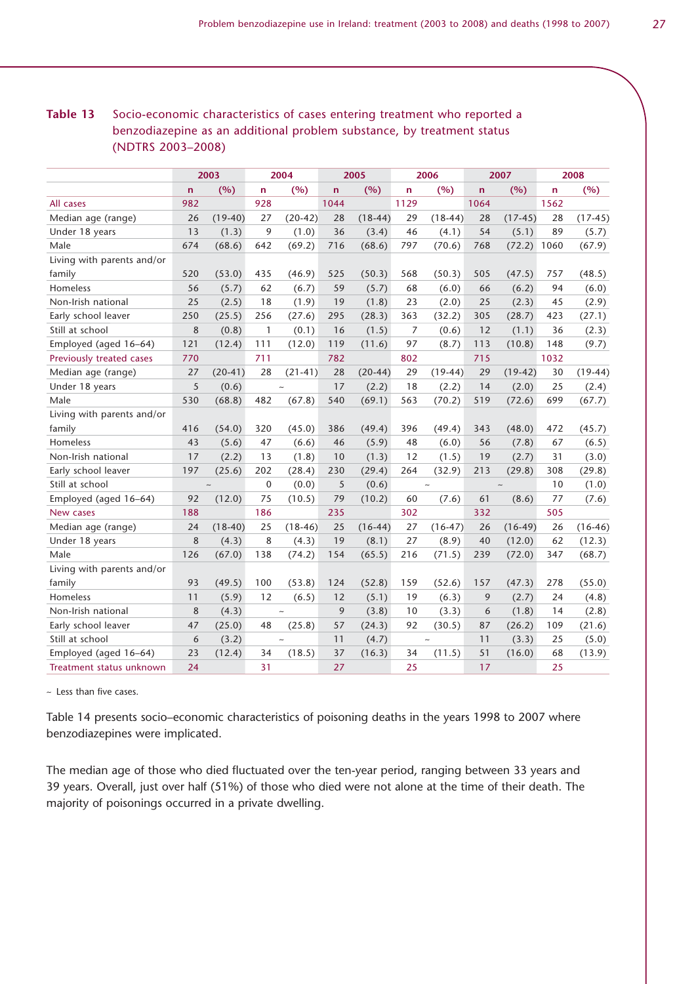#### **Table 13** Socio-economic characteristics of cases entering treatment who reported a benzodiazepine as an additional problem substance, by treatment status (NDTRS 2003–2008)

|                            |     | 2003                      |              | 2004      |              | 2005      |      | 2006      |              | 2007      |      | 2008      |
|----------------------------|-----|---------------------------|--------------|-----------|--------------|-----------|------|-----------|--------------|-----------|------|-----------|
|                            | n   | (%)                       | $\mathsf{n}$ | (%)       | $\mathsf{n}$ | (%)       | n    | (%)       | $\mathsf{n}$ | (%)       | n    | (%)       |
| All cases                  | 982 |                           | 928          |           | 1044         |           | 1129 |           | 1064         |           | 1562 |           |
| Median age (range)         | 26  | $(19-40)$                 | 27           | $(20-42)$ | 28           | $(18-44)$ | 29   | $(18-44)$ | 28           | $(17-45)$ | 28   | $(17-45)$ |
| Under 18 years             | 13  | (1.3)                     | 9            | (1.0)     | 36           | (3.4)     | 46   | (4.1)     | 54           | (5.1)     | 89   | (5.7)     |
| Male                       | 674 | (68.6)                    | 642          | (69.2)    | 716          | (68.6)    | 797  | (70.6)    | 768          | (72.2)    | 1060 | (67.9)    |
| Living with parents and/or |     |                           |              |           |              |           |      |           |              |           |      |           |
| family                     | 520 | (53.0)                    | 435          | (46.9)    | 525          | (50.3)    | 568  | (50.3)    | 505          | (47.5)    | 757  | (48.5)    |
| Homeless                   | 56  | (5.7)                     | 62           | (6.7)     | 59           | (5.7)     | 68   | (6.0)     | 66           | (6.2)     | 94   | (6.0)     |
| Non-Irish national         | 25  | (2.5)                     | 18           | (1.9)     | 19           | (1.8)     | 23   | (2.0)     | 25           | (2.3)     | 45   | (2.9)     |
| Early school leaver        | 250 | (25.5)                    | 256          | (27.6)    | 295          | (28.3)    | 363  | (32.2)    | 305          | (28.7)    | 423  | (27.1)    |
| Still at school            | 8   | (0.8)                     | $\mathbf{1}$ | (0.1)     | 16           | (1.5)     | 7    | (0.6)     | 12           | (1.1)     | 36   | (2.3)     |
| Employed (aged 16-64)      | 121 | (12.4)                    | 111          | (12.0)    | 119          | (11.6)    | 97   | (8.7)     | 113          | (10.8)    | 148  | (9.7)     |
| Previously treated cases   | 770 |                           | 711          |           | 782          |           | 802  |           | 715          |           | 1032 |           |
| Median age (range)         | 27  | $(20-41)$                 | 28           | $(21-41)$ | 28           | $(20-44)$ | 29   | $(19-44)$ | 29           | $(19-42)$ | 30   | $(19-44)$ |
| Under 18 years             | 5   | (0.6)                     |              | $\sim$    | 17           | (2.2)     | 18   | (2.2)     | 14           | (2.0)     | 25   | (2.4)     |
| Male                       | 530 | (68.8)                    | 482          | (67.8)    | 540          | (69.1)    | 563  | (70.2)    | 519          | (72.6)    | 699  | (67.7)    |
| Living with parents and/or |     |                           |              |           |              |           |      |           |              |           |      |           |
| family                     | 416 | (54.0)                    | 320          | (45.0)    | 386          | (49.4)    | 396  | (49.4)    | 343          | (48.0)    | 472  | (45.7)    |
| Homeless                   | 43  | (5.6)                     | 47           | (6.6)     | 46           | (5.9)     | 48   | (6.0)     | 56           | (7.8)     | 67   | (6.5)     |
| Non-Irish national         | 17  | (2.2)                     | 13           | (1.8)     | 10           | (1.3)     | 12   | (1.5)     | 19           | (2.7)     | 31   | (3.0)     |
| Early school leaver        | 197 | (25.6)                    | 202          | (28.4)    | 230          | (29.4)    | 264  | (32.9)    | 213          | (29.8)    | 308  | (29.8)    |
| Still at school            |     | $\widetilde{\phantom{m}}$ | $\mathbf 0$  | (0.0)     | 5            | (0.6)     |      | $\sim$    |              |           | 10   | (1.0)     |
| Employed (aged 16-64)      | 92  | (12.0)                    | 75           | (10.5)    | 79           | (10.2)    | 60   | (7.6)     | 61           | (8.6)     | 77   | (7.6)     |
| New cases                  | 188 |                           | 186          |           | 235          |           | 302  |           | 332          |           | 505  |           |
| Median age (range)         | 24  | $(18-40)$                 | 25           | $(18-46)$ | 25           | $(16-44)$ | 27   | $(16-47)$ | 26           | $(16-49)$ | 26   | $(16-46)$ |
| Under 18 years             | 8   | (4.3)                     | 8            | (4.3)     | 19           | (8.1)     | 27   | (8.9)     | 40           | (12.0)    | 62   | (12.3)    |
| Male                       | 126 | (67.0)                    | 138          | (74.2)    | 154          | (65.5)    | 216  | (71.5)    | 239          | (72.0)    | 347  | (68.7)    |
| Living with parents and/or |     |                           |              |           |              |           |      |           |              |           |      |           |
| family                     | 93  | (49.5)                    | 100          | (53.8)    | 124          | (52.8)    | 159  | (52.6)    | 157          | (47.3)    | 278  | (55.0)    |
| Homeless                   | 11  | (5.9)                     | 12           | (6.5)     | 12           | (5.1)     | 19   | (6.3)     | 9            | (2.7)     | 24   | (4.8)     |
| Non-Irish national         | 8   | (4.3)                     |              | $\sim$    | 9            | (3.8)     | 10   | (3.3)     | 6            | (1.8)     | 14   | (2.8)     |
| Early school leaver        | 47  | (25.0)                    | 48           | (25.8)    | 57           | (24.3)    | 92   | (30.5)    | 87           | (26.2)    | 109  | (21.6)    |
| Still at school            | 6   | (3.2)                     |              | $\sim$    | 11           | (4.7)     |      | $\sim$    | 11           | (3.3)     | 25   | (5.0)     |
| Employed (aged 16-64)      | 23  | (12.4)                    | 34           | (18.5)    | 37           | (16.3)    | 34   | (11.5)    | 51           | (16.0)    | 68   | (13.9)    |
| Treatment status unknown   | 24  |                           | 31           |           | 27           |           | 25   |           | 17           |           | 25   |           |

 $\sim$  Less than five cases.

Table 14 presents socio–economic characteristics of poisoning deaths in the years 1998 to 2007 where benzodiazepines were implicated.

The median age of those who died fluctuated over the ten-year period, ranging between 33 years and 39 years. Overall, just over half (51%) of those who died were not alone at the time of their death. The majority of poisonings occurred in a private dwelling.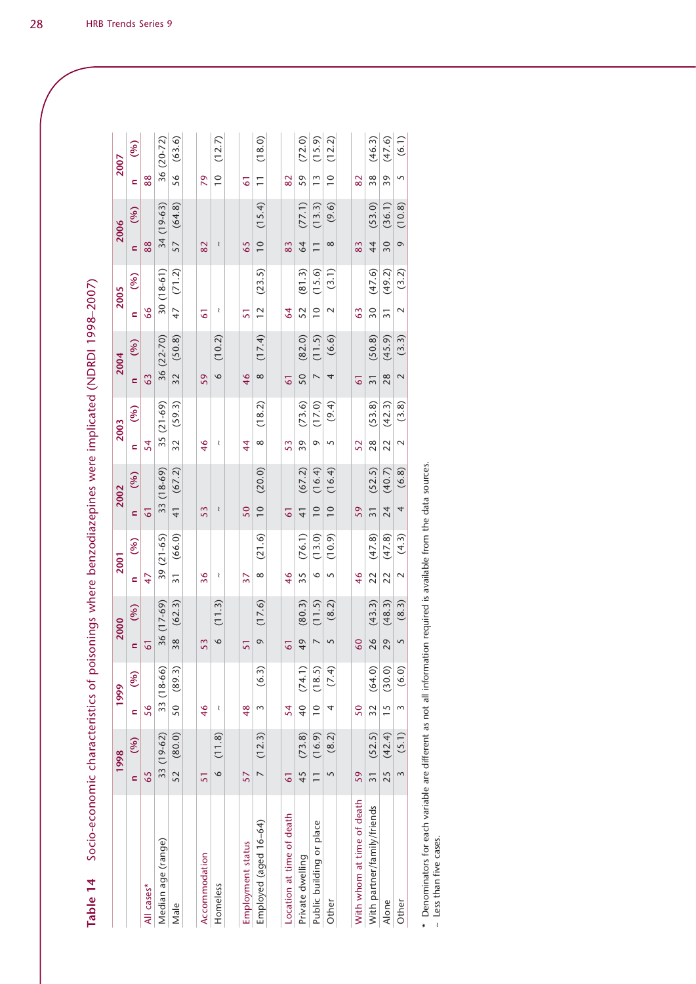| <br> <br> <br> <br><b>Service Service</b> |
|-------------------------------------------|
|                                           |
|                                           |
|                                           |
|                                           |
|                                           |
|                                           |
|                                           |
|                                           |
|                                           |
|                                           |
| Socio-econom                              |
| Table 14                                  |

| Socio-economic characteristics of poisonings where benzodiazepines were implicated (NDRDI 1998–2007)<br>Table 14 |                 |            |               |            |                |                                                |                 |            |                 |             |                 |             |                 |            |                 |        |                          |        |                |        |
|------------------------------------------------------------------------------------------------------------------|-----------------|------------|---------------|------------|----------------|------------------------------------------------|-----------------|------------|-----------------|-------------|-----------------|-------------|-----------------|------------|-----------------|--------|--------------------------|--------|----------------|--------|
|                                                                                                                  | 1998            |            |               | 1999       |                | 2000                                           | 2001            |            |                 | 2002        |                 | 2003        | 2004            |            | 2005            |        | 2006                     |        | 2007           |        |
|                                                                                                                  | $\mathbf{c}$    | (%)        | $\epsilon$    | (%)        |                | $\begin{pmatrix} 0 & 0 \\ 0 & 0 \end{pmatrix}$ | $\epsilon$      | (96)       | $\overline{a}$  | (%)         | $\epsilon$      | (%)         | $\overline{a}$  | (96)       | $\overline{a}$  | (%)    | $\overline{a}$           | (96)   | ċ              | (96)   |
| All cases*                                                                                                       | 65              |            | 56            |            |                |                                                | 47              |            | 61              |             | 54              |             | 63              |            | 66              |        | 88                       |        | 88             |        |
| Median age (range)                                                                                               |                 | 33 (19-62) |               | 33 (18-66) |                | 36 (17-69)                                     |                 | 39 (21-65) |                 | 33 (18-69)  |                 | $35(21-69)$ |                 | 36 (22-70) | $30(18-61)$     |        | 34 (19-63)               |        | 36 (20-72)     |        |
| Male                                                                                                             |                 | 52 (80.0)  |               | 50 (89.3)  |                | 38 (62.3)                                      | $\overline{31}$ | (66.0)     |                 | 41 $(67.2)$ | $\overline{32}$ | (59.3)      | 32              | (50.8)     | 47 (71.2)       |        | 57 (64.8)                |        | 56             | (63.6) |
|                                                                                                                  |                 |            |               |            |                |                                                |                 |            |                 |             |                 |             |                 |            |                 |        |                          |        |                |        |
| Accommodation                                                                                                    | 51              |            | 46            |            | 53             |                                                | 36              |            | 53              |             | 46              |             | 59              |            | 61              |        | 82                       |        | 79             |        |
| Homeless                                                                                                         | $\overline{6}$  | (11.8)     | ₹             |            | $\circ$        | (11.3)                                         | ₹               |            | ₹               |             | ₹               |             | $\circ$         | (10.2)     | Î               |        | $\wr$                    |        | $\frac{1}{10}$ | (12.7) |
|                                                                                                                  |                 |            |               |            |                |                                                |                 |            |                 |             |                 |             |                 |            |                 |        |                          |        |                |        |
| Employment status                                                                                                | 57              |            | 48            |            | 51             |                                                | 37              |            | 50              |             | $\overline{4}$  |             | 46              |            | 51              |        | 65                       |        | 61             |        |
| Employed (aged 16-64)                                                                                            |                 | 7(12.3)    | 3             | (6.3)      | $\circ$        | (17.6)                                         | $\infty$        | (21.6)     | $\frac{1}{2}$   | (20.0)      | $\infty$        | (18.2)      | $\infty$        | (17.4)     | $\overline{12}$ | (23.5) | $\frac{1}{2}$            | (15.4) | $\overline{1}$ | (18.0) |
|                                                                                                                  |                 |            |               |            |                |                                                |                 |            |                 |             |                 |             |                 |            |                 |        |                          |        |                |        |
| Location at time of death                                                                                        | 61              |            | 54            |            |                |                                                | 46              |            | 61              |             | 53              |             | 5               |            | $\overline{6}$  |        | 83                       |        | $\overline{8}$ |        |
| Private dwelling                                                                                                 | 45              | (73.8)     |               | 40 (74.1)  | 49             | (80.3)                                         | 35              | (76.1)     | $\frac{1}{4}$   | (67.2)      | 39              | (73.6)      | 50              | (82.0)     | 52              | (81.3) | 64                       | (77.1) | 59             | (72.0) |
| Public building or place                                                                                         | $\overline{1}$  | (16.9)     | $\frac{0}{1}$ | (18.5)     | $\overline{ }$ | (11.5)                                         | $\circ$         | (13.0)     | $\frac{1}{2}$   | (16.4)      | Q               | (17.0)      |                 | (11.5)     | $\overline{0}$  | (15.6) | $\overline{\phantom{0}}$ | (13.3) | $\frac{3}{2}$  | (15.9) |
| Other                                                                                                            | 5               | (8.2)      | 4             | (7.4)      | 5              | (8.2)                                          | 5               | (10.9)     | $\overline{0}$  | (16.4)      | 5               | (9.4)       | 4               | (6.6)      | $\sim$          | (3.1)  | $\infty$                 | (9.6)  | $\frac{1}{2}$  | (12.2) |
|                                                                                                                  |                 |            |               |            |                |                                                |                 |            |                 |             |                 |             |                 |            |                 |        |                          |        |                |        |
| With whom at time of death                                                                                       | 59              |            | 50            |            | 60             |                                                | $\frac{4}{6}$   |            | 59              |             | 52              |             | 5               |            | 63              |        | 83                       |        | 82             |        |
| With partner/family/friends                                                                                      | $\overline{31}$ | (52.5)     |               | 32 (64.0)  | 26             | (43.3)                                         | 22              | (47.8)     | $\overline{31}$ | (52.5)      | 28              | (53.8)      | $\overline{31}$ | (50.8)     | $\overline{30}$ | (47.6) | 44                       | (53.0) | 38             | (46.3) |
| Alone                                                                                                            | 25              | (42.4)     | $\frac{2}{1}$ | (30.0)     | 29             | (48.3)                                         | 22              | (47.8)     | 24              | (40.7)      | 22              | (42.3)      | $\frac{8}{2}$   | (45.9)     | 31              | (49.2) | $\overline{50}$          | (36.1) | 39             | (47.6) |
| Other                                                                                                            | $\infty$        | (5.1)      | 3             | (6.0)      | $\overline{S}$ | (8.3)                                          | $\sim$          | (4.3)      | $\overline{a}$  | (6.8)       | $\sim$          | (3.8)       | $\sim$          | (3.3)      | $\sim$          | (3.2)  | $\circ$                  | (10.8) | $\sqrt{2}$     | (6.1)  |
|                                                                                                                  |                 |            |               |            |                |                                                |                 |            |                 |             |                 |             |                 |            |                 |        |                          |        |                |        |

\* Denominators for each variable are different as not all information required is available from the data sources.<br>~ Less than five cases. \* Denominators for each variable are different as not all information required is available from the data sources.

~ Less than five cases.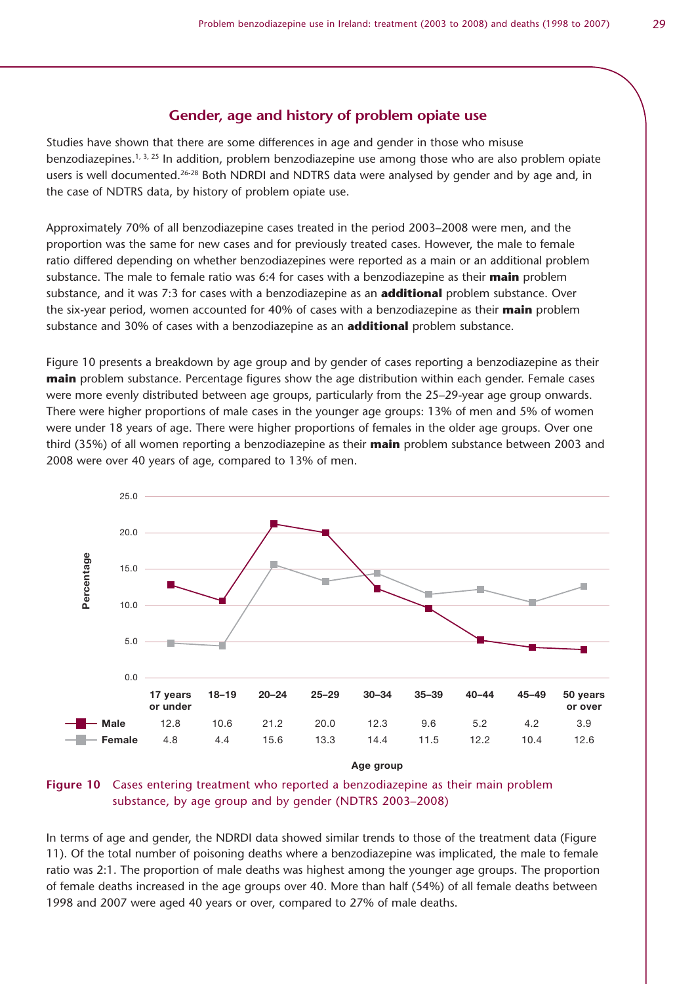### **Gender, age and history of problem opiate use**

Studies have shown that there are some differences in age and gender in those who misuse benzodiazepines.<sup>1, 3, 25</sup> In addition, problem benzodiazepine use among those who are also problem opiate users is well documented.<sup>26-28</sup> Both NDRDI and NDTRS data were analysed by gender and by age and, in the case of NDTRS data, by history of problem opiate use.

Approximately 70% of all benzodiazepine cases treated in the period 2003–2008 were men, and the proportion was the same for new cases and for previously treated cases. However, the male to female ratio differed depending on whether benzodiazepines were reported as a main or an additional problem substance. The male to female ratio was 6:4 for cases with a benzodiazepine as their **main** problem substance, and it was 7:3 for cases with a benzodiazepine as an **additional** problem substance. Over the six-year period, women accounted for 40% of cases with a benzodiazepine as their **main** problem substance and 30% of cases with a benzodiazepine as an **additional** problem substance.

Figure 10 presents a breakdown by age group and by gender of cases reporting a benzodiazepine as their **main** problem substance. Percentage figures show the age distribution within each gender. Female cases were more evenly distributed between age groups, particularly from the 25–29-year age group onwards. There were higher proportions of male cases in the younger age groups: 13% of men and 5% of women were under 18 years of age. There were higher proportions of females in the older age groups. Over one third (35%) of all women reporting a benzodiazepine as their **main** problem substance between 2003 and 2008 were over 40 years of age, compared to 13% of men.



Age group

#### **Figure 10** Cases entering treatment who reported a benzodiazepine as their main problem substance, by age group and by gender (NDTRS 2003–2008)

In terms of age and gender, the NDRDI data showed similar trends to those of the treatment data (Figure 11). Of the total number of poisoning deaths where a benzodiazepine was implicated, the male to female ratio was 2:1. The proportion of male deaths was highest among the younger age groups. The proportion of female deaths increased in the age groups over 40. More than half (54%) of all female deaths between 1998 and 2007 were aged 40 years or over, compared to 27% of male deaths.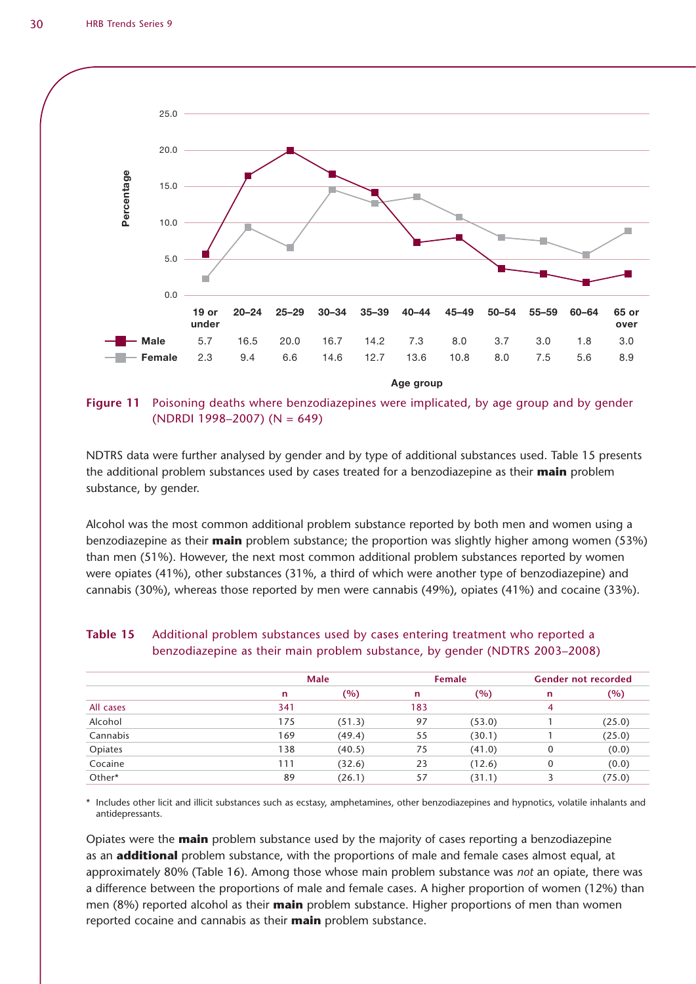

**Figure 11** Poisoning deaths where benzodiazepines were implicated, by age group and by gender (NDRDI 1998–2007) (N = 649)

NDTRS data were further analysed by gender and by type of additional substances used. Table 15 presents the additional problem substances used by cases treated for a benzodiazepine as their **main** problem substance, by gender.

Alcohol was the most common additional problem substance reported by both men and women using a benzodiazepine as their **main** problem substance; the proportion was slightly higher among women (53%) than men (51%). However, the next most common additional problem substances reported by women were opiates (41%), other substances (31%, a third of which were another type of benzodiazepine) and cannabis (30%), whereas those reported by men were cannabis (49%), opiates (41%) and cocaine (33%).

|           |     | Male   |     | <b>Female</b> |   | <b>Gender not recorded</b> |
|-----------|-----|--------|-----|---------------|---|----------------------------|
|           | n   | (%)    | n   | (%)           | n | (%)                        |
| All cases | 341 |        | 183 |               | 4 |                            |
| Alcohol   | 175 | (51.3) | 97  | (53.0)        |   | (25.0)                     |
| Cannabis  | 169 | (49.4) | 55  | (30.1)        |   | (25.0)                     |
| Opiates   | 138 | (40.5) | 75  | (41.0)        | 0 | (0.0)                      |
| Cocaine   | 111 | (32.6) | 23  | (12.6)        | 0 | (0.0)                      |
| Other*    | 89  | (26.1) | 57  | (31.1)        |   | (75.0)                     |

#### **Table 15** Additional problem substances used by cases entering treatment who reported a benzodiazepine as their main problem substance, by gender (NDTRS 2003–2008)

\* Includes other licit and illicit substances such as ecstasy, amphetamines, other benzodiazepines and hypnotics, volatile inhalants and antidepressants.

Opiates were the **main** problem substance used by the majority of cases reporting a benzodiazepine as an **additional** problem substance, with the proportions of male and female cases almost equal, at approximately 80% (Table 16). Among those whose main problem substance was *not* an opiate, there was a difference between the proportions of male and female cases. A higher proportion of women (12%) than men (8%) reported alcohol as their **main** problem substance. Higher proportions of men than women reported cocaine and cannabis as their **main** problem substance.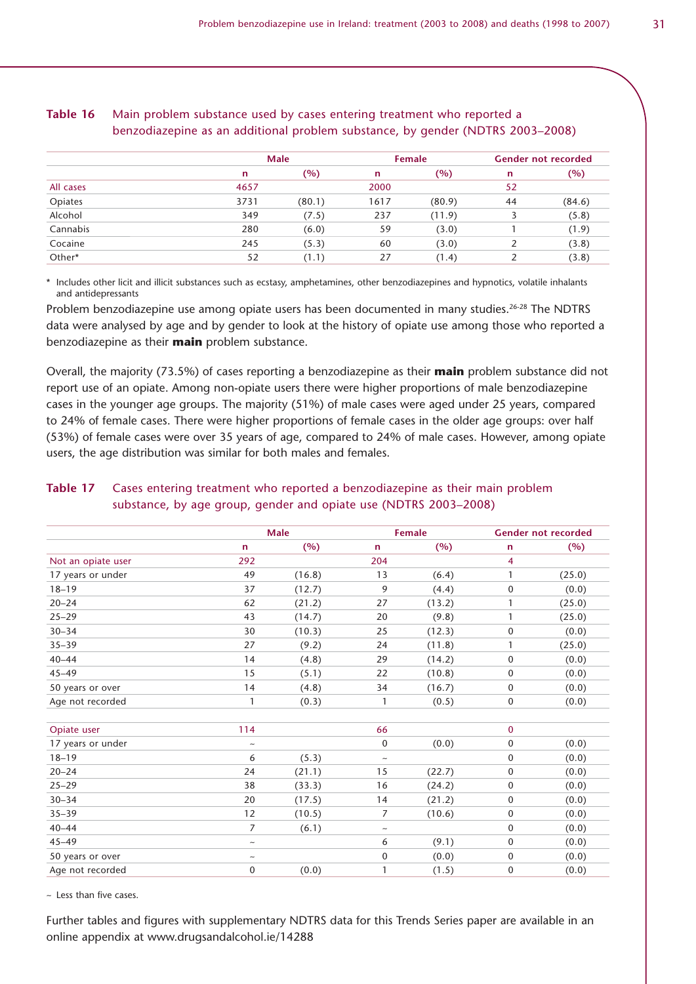|           |      | <b>Male</b> |      | Female |    | <b>Gender not recorded</b> |
|-----------|------|-------------|------|--------|----|----------------------------|
|           | n    | (%)         | n    | (%)    | n  | $(\%)$                     |
| All cases | 4657 |             | 2000 |        | 52 |                            |
| Opiates   | 3731 | (80.1)      | 1617 | (80.9) | 44 | (84.6)                     |
| Alcohol   | 349  | (7.5)       | 237  | (11.9) |    | (5.8)                      |
| Cannabis  | 280  | (6.0)       | 59   | (3.0)  |    | (1.9)                      |
| Cocaine   | 245  | (5.3)       | 60   | (3.0)  |    | (3.8)                      |
| Other*    | 52   | (1.1)       | 27   | (1.4)  |    | (3.8)                      |

#### **Table 16** Main problem substance used by cases entering treatment who reported a benzodiazepine as an additional problem substance, by gender (NDTRS 2003–2008)

\* Includes other licit and illicit substances such as ecstasy, amphetamines, other benzodiazepines and hypnotics, volatile inhalants and antidepressants

Problem benzodiazepine use among opiate users has been documented in many studies.<sup>26-28</sup> The NDTRS data were analysed by age and by gender to look at the history of opiate use among those who reported a benzodiazepine as their **main** problem substance.

Overall, the majority (73.5%) of cases reporting a benzodiazepine as their **main** problem substance did not report use of an opiate. Among non-opiate users there were higher proportions of male benzodiazepine cases in the younger age groups. The majority (51%) of male cases were aged under 25 years, compared to 24% of female cases. There were higher proportions of female cases in the older age groups: over half (53%) of female cases were over 35 years of age, compared to 24% of male cases. However, among opiate users, the age distribution was similar for both males and females.

|                    |                           | <b>Male</b> |                           | Female |              | <b>Gender not recorded</b> |
|--------------------|---------------------------|-------------|---------------------------|--------|--------------|----------------------------|
|                    | $\mathsf{n}$              | (%)         | $\mathbf n$               | (%)    | n            | (%)                        |
| Not an opiate user | 292                       |             | 204                       |        | 4            |                            |
| 17 years or under  | 49                        | (16.8)      | 13                        | (6.4)  | $\mathbf{1}$ | (25.0)                     |
| $18 - 19$          | 37                        | (12.7)      | 9                         | (4.4)  | $\mathbf 0$  | (0.0)                      |
| $20 - 24$          | 62                        | (21.2)      | 27                        | (13.2) | $\mathbf{1}$ | (25.0)                     |
| $25 - 29$          | 43                        | (14.7)      | 20                        | (9.8)  | $\mathbf{1}$ | (25.0)                     |
| $30 - 34$          | 30                        | (10.3)      | 25                        | (12.3) | $\mathbf 0$  | (0.0)                      |
| $35 - 39$          | 27                        | (9.2)       | 24                        | (11.8) | $\mathbf{1}$ | (25.0)                     |
| $40 - 44$          | 14                        | (4.8)       | 29                        | (14.2) | $\mathbf 0$  | (0.0)                      |
| $45 - 49$          | 15                        | (5.1)       | 22                        | (10.8) | $\mathbf 0$  | (0.0)                      |
| 50 years or over   | 14                        | (4.8)       | 34                        | (16.7) | $\mathbf{0}$ | (0.0)                      |
| Age not recorded   | 1                         | (0.3)       | 1                         | (0.5)  | $\mathbf 0$  | (0.0)                      |
|                    |                           |             |                           |        |              |                            |
| Opiate user        | 114                       |             | 66                        |        | $\mathbf 0$  |                            |
| 17 years or under  | $\thicksim$               |             | $\mathbf 0$               | (0.0)  | $\mathbf 0$  | (0.0)                      |
| $18 - 19$          | 6                         | (5.3)       | $\thicksim$               |        | $\mathbf{0}$ | (0.0)                      |
| $20 - 24$          | 24                        | (21.1)      | 15                        | (22.7) | $\mathbf 0$  | (0.0)                      |
| $25 - 29$          | 38                        | (33.3)      | 16                        | (24.2) | $\mathbf{0}$ | (0.0)                      |
| $30 - 34$          | 20                        | (17.5)      | 14                        | (21.2) | $\mathbf{0}$ | (0.0)                      |
| $35 - 39$          | 12                        | (10.5)      | $\overline{7}$            | (10.6) | $\mathbf 0$  | (0.0)                      |
| $40 - 44$          | 7                         | (6.1)       | $\widetilde{\phantom{m}}$ |        | $\mathbf 0$  | (0.0)                      |
| $45 - 49$          | $\widetilde{\phantom{m}}$ |             | 6                         | (9.1)  | $\mathbf 0$  | (0.0)                      |
| 50 years or over   | $\thicksim$               |             | $\boldsymbol{0}$          | (0.0)  | $\mathbf 0$  | (0.0)                      |
| Age not recorded   | $\mathbf 0$               | (0.0)       | 1                         | (1.5)  | $\mathbf 0$  | (0.0)                      |

#### **Table 17** Cases entering treatment who reported a benzodiazepine as their main problem substance, by age group, gender and opiate use (NDTRS 2003–2008)

 $\sim$  Less than five cases.

Further tables and figures with supplementary NDTRS data for this Trends Series paper are available in an online appendix at www.drugsandalcohol.ie/14288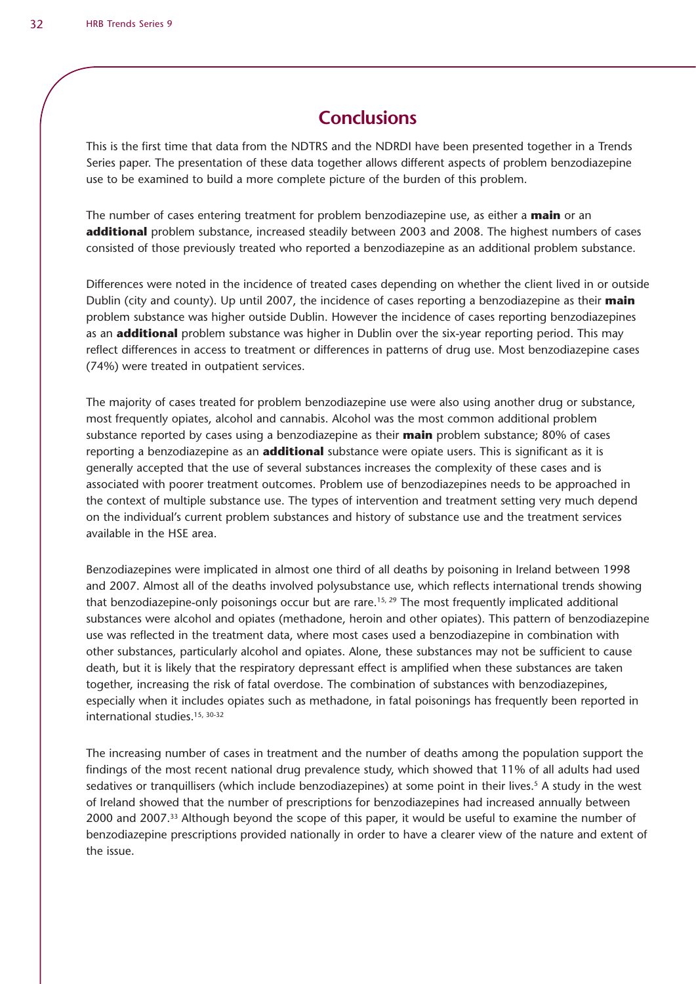# **Conclusions**

This is the first time that data from the NDTRS and the NDRDI have been presented together in a Trends Series paper. The presentation of these data together allows different aspects of problem benzodiazepine use to be examined to build a more complete picture of the burden of this problem.

The number of cases entering treatment for problem benzodiazepine use, as either a **main** or an **additional** problem substance, increased steadily between 2003 and 2008. The highest numbers of cases consisted of those previously treated who reported a benzodiazepine as an additional problem substance.

Differences were noted in the incidence of treated cases depending on whether the client lived in or outside Dublin (city and county). Up until 2007, the incidence of cases reporting a benzodiazepine as their **main** problem substance was higher outside Dublin. However the incidence of cases reporting benzodiazepines as an **additional** problem substance was higher in Dublin over the six-year reporting period. This may reflect differences in access to treatment or differences in patterns of drug use. Most benzodiazepine cases (74%) were treated in outpatient services.

The majority of cases treated for problem benzodiazepine use were also using another drug or substance, most frequently opiates, alcohol and cannabis. Alcohol was the most common additional problem substance reported by cases using a benzodiazepine as their **main** problem substance; 80% of cases reporting a benzodiazepine as an **additional** substance were opiate users. This is significant as it is generally accepted that the use of several substances increases the complexity of these cases and is associated with poorer treatment outcomes. Problem use of benzodiazepines needs to be approached in the context of multiple substance use. The types of intervention and treatment setting very much depend on the individual's current problem substances and history of substance use and the treatment services available in the HSE area.

Benzodiazepines were implicated in almost one third of all deaths by poisoning in Ireland between 1998 and 2007. Almost all of the deaths involved polysubstance use, which reflects international trends showing that benzodiazepine-only poisonings occur but are rare.<sup>15, 29</sup> The most frequently implicated additional substances were alcohol and opiates (methadone, heroin and other opiates). This pattern of benzodiazepine use was reflected in the treatment data, where most cases used a benzodiazepine in combination with other substances, particularly alcohol and opiates. Alone, these substances may not be sufficient to cause death, but it is likely that the respiratory depressant effect is amplified when these substances are taken together, increasing the risk of fatal overdose. The combination of substances with benzodiazepines, especially when it includes opiates such as methadone, in fatal poisonings has frequently been reported in international studies.15, 30-32

The increasing number of cases in treatment and the number of deaths among the population support the findings of the most recent national drug prevalence study, which showed that 11% of all adults had used sedatives or tranquillisers (which include benzodiazepines) at some point in their lives.<sup>5</sup> A study in the west of Ireland showed that the number of prescriptions for benzodiazepines had increased annually between 2000 and 2007.33 Although beyond the scope of this paper, it would be useful to examine the number of benzodiazepine prescriptions provided nationally in order to have a clearer view of the nature and extent of the issue.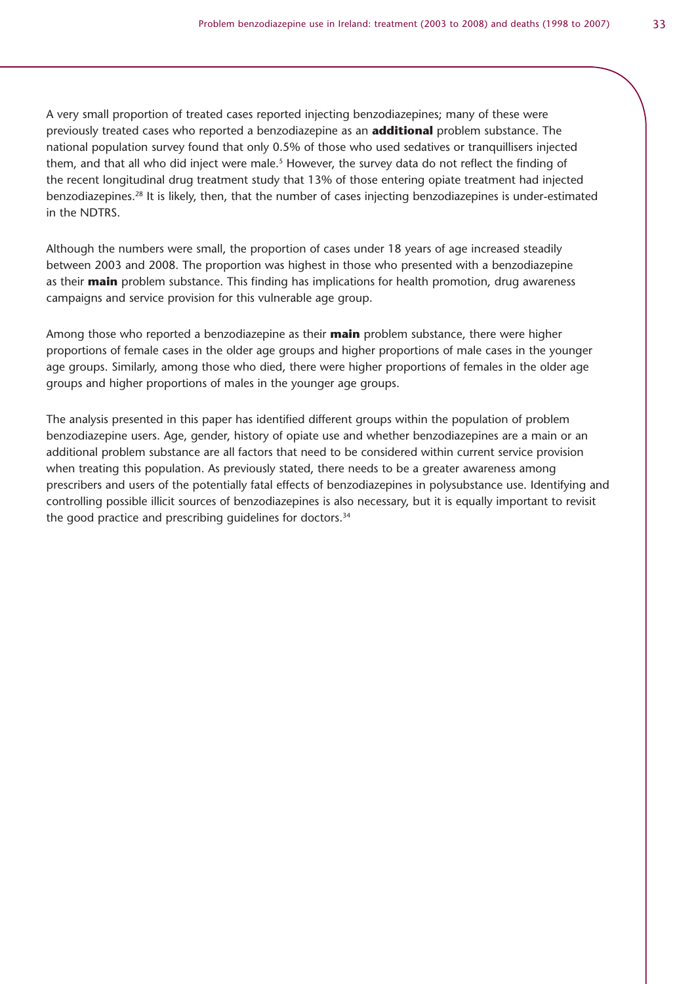A very small proportion of treated cases reported injecting benzodiazepines; many of these were previously treated cases who reported a benzodiazepine as an **additional** problem substance. The national population survey found that only 0.5% of those who used sedatives or tranquillisers injected them, and that all who did inject were male.<sup>5</sup> However, the survey data do not reflect the finding of the recent longitudinal drug treatment study that 13% of those entering opiate treatment had injected benzodiazepines.28 It is likely, then, that the number of cases injecting benzodiazepines is under-estimated in the NDTRS.

Although the numbers were small, the proportion of cases under 18 years of age increased steadily between 2003 and 2008. The proportion was highest in those who presented with a benzodiazepine as their **main** problem substance. This finding has implications for health promotion, drug awareness campaigns and service provision for this vulnerable age group.

Among those who reported a benzodiazepine as their **main** problem substance, there were higher proportions of female cases in the older age groups and higher proportions of male cases in the younger age groups. Similarly, among those who died, there were higher proportions of females in the older age groups and higher proportions of males in the younger age groups.

The analysis presented in this paper has identified different groups within the population of problem benzodiazepine users. Age, gender, history of opiate use and whether benzodiazepines are a main or an additional problem substance are all factors that need to be considered within current service provision when treating this population. As previously stated, there needs to be a greater awareness among prescribers and users of the potentially fatal effects of benzodiazepines in polysubstance use. Identifying and controlling possible illicit sources of benzodiazepines is also necessary, but it is equally important to revisit the good practice and prescribing guidelines for doctors.<sup>34</sup>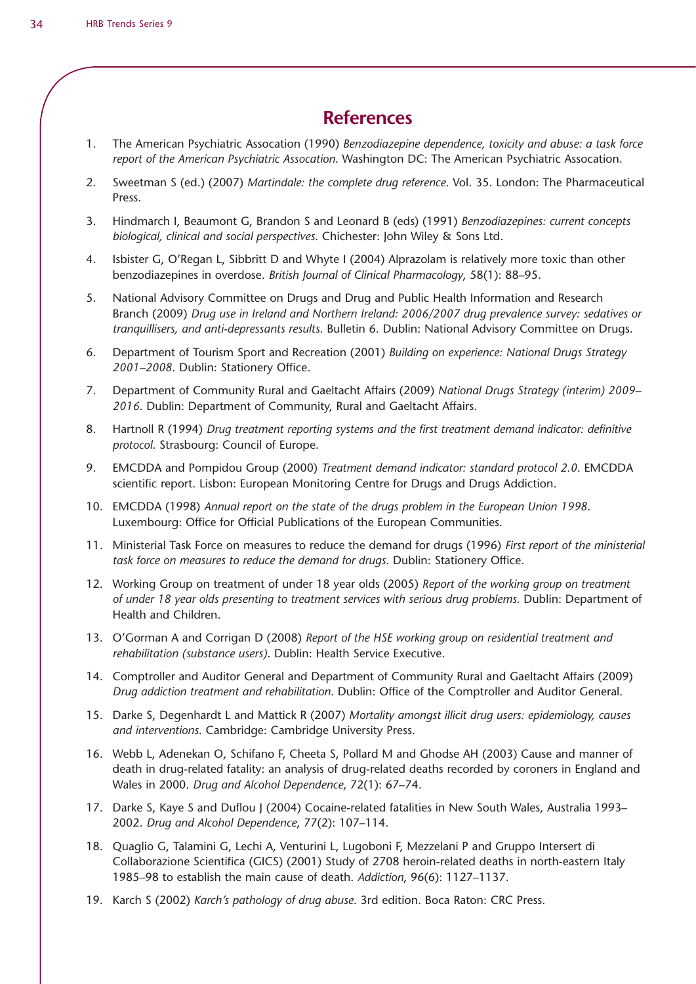### **References**

- 1. The American Psychiatric Assocation (1990) *Benzodiazepine dependence, toxicity and abuse: a task force report of the American Psychiatric Assocation*. Washington DC: The American Psychiatric Assocation.
- 2. Sweetman S (ed.) (2007) *Martindale: the complete drug reference*. Vol. 35. London: The Pharmaceutical Press.
- 3. Hindmarch I, Beaumont G, Brandon S and Leonard B (eds) (1991) *Benzodiazepines: current concepts biological, clinical and social perspectives*. Chichester: John Wiley & Sons Ltd.
- 4. Isbister G, O'Regan L, Sibbritt D and Whyte I (2004) Alprazolam is relatively more toxic than other benzodiazepines in overdose. *British Journal of Clinical Pharmacology*, 58(1): 88–95.
- 5. National Advisory Committee on Drugs and Drug and Public Health Information and Research Branch (2009) *Drug use in Ireland and Northern Ireland: 2006/2007 drug prevalence survey: sedatives or tranquillisers, and anti-depressants results*. Bulletin 6. Dublin: National Advisory Committee on Drugs.
- 6. Department of Tourism Sport and Recreation (2001) *Building on experience: National Drugs Strategy 2001–2008*. Dublin: Stationery Office.
- 7. Department of Community Rural and Gaeltacht Affairs (2009) *National Drugs Strategy (interim) 2009– 2016*. Dublin: Department of Community, Rural and Gaeltacht Affairs.
- 8. Hartnoll R (1994) *Drug treatment reporting systems and the first treatment demand indicator: definitive protocol*. Strasbourg: Council of Europe.
- 9. EMCDDA and Pompidou Group (2000) *Treatment demand indicator: standard protocol 2.0*. EMCDDA scientific report. Lisbon: European Monitoring Centre for Drugs and Drugs Addiction.
- 10. EMCDDA (1998) *Annual report on the state of the drugs problem in the European Union 1998*. Luxembourg: Office for Official Publications of the European Communities.
- 11. Ministerial Task Force on measures to reduce the demand for drugs (1996) *First report of the ministerial task force on measures to reduce the demand for drugs*. Dublin: Stationery Office.
- 12. Working Group on treatment of under 18 year olds (2005) *Report of the working group on treatment of under 18 year olds presenting to treatment services with serious drug problems*. Dublin: Department of Health and Children.
- 13. O'Gorman A and Corrigan D (2008) *Report of the HSE working group on residential treatment and rehabilitation (substance users)*. Dublin: Health Service Executive.
- 14. Comptroller and Auditor General and Department of Community Rural and Gaeltacht Affairs (2009) *Drug addiction treatment and rehabilitation*. Dublin: Office of the Comptroller and Auditor General.
- 15. Darke S, Degenhardt L and Mattick R (2007) *Mortality amongst illicit drug users: epidemiology, causes and interventions*. Cambridge: Cambridge University Press.
- 16. Webb L, Adenekan O, Schifano F, Cheeta S, Pollard M and Ghodse AH (2003) Cause and manner of death in drug-related fatality: an analysis of drug-related deaths recorded by coroners in England and Wales in 2000. *Drug and Alcohol Dependence*, 72(1): 67–74.
- 17. Darke S, Kaye S and Duflou J (2004) Cocaine-related fatalities in New South Wales, Australia 1993– 2002. *Drug and Alcohol Dependence*, 77(2): 107–114.
- 18. Quaglio G, Talamini G, Lechi A, Venturini L, Lugoboni F, Mezzelani P and Gruppo Intersert di Collaborazione Scientifica (GICS) (2001) Study of 2708 heroin-related deaths in north-eastern Italy 1985–98 to establish the main cause of death. *Addiction*, 96(6): 1127–1137.
- 19. Karch S (2002) *Karch's pathology of drug abuse*. 3rd edition. Boca Raton: CRC Press.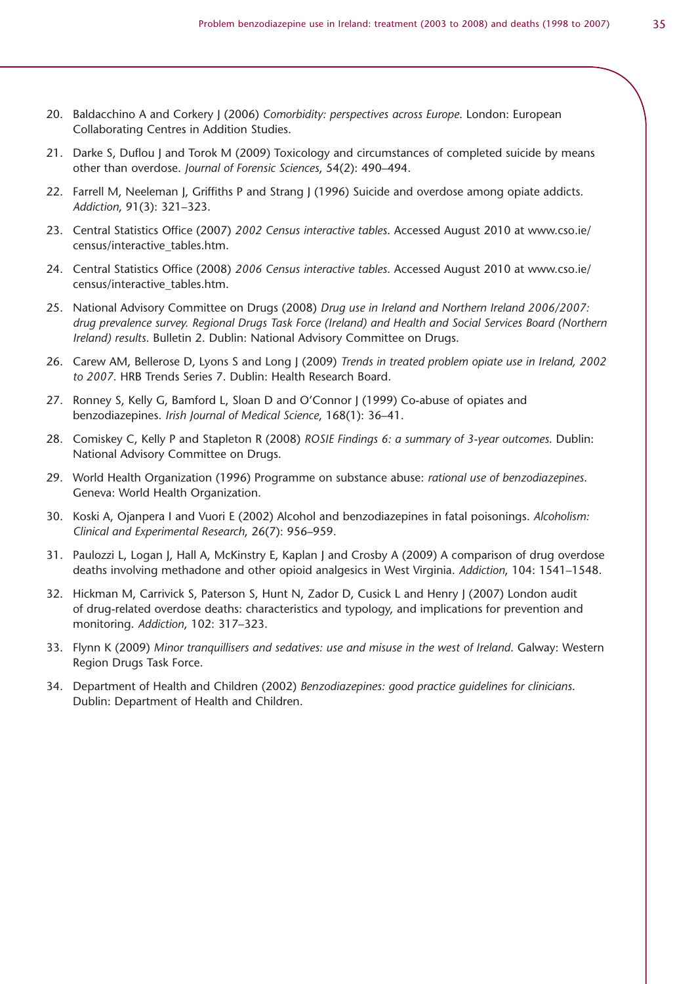- 20. Baldacchino A and Corkery J (2006) *Comorbidity: perspectives across Europe*. London: European Collaborating Centres in Addition Studies.
- 21. Darke S, Duflou J and Torok M (2009) Toxicology and circumstances of completed suicide by means other than overdose. *Journal of Forensic Sciences*, 54(2): 490–494.
- 22. Farrell M, Neeleman J, Griffiths P and Strang J (1996) Suicide and overdose among opiate addicts. *Addiction*, 91(3): 321–323.
- 23. Central Statistics Office (2007) *2002 Census interactive tables*. Accessed August 2010 at www.cso.ie/ census/interactive\_tables.htm.
- 24. Central Statistics Office (2008) *2006 Census interactive tables*. Accessed August 2010 at www.cso.ie/ census/interactive\_tables.htm.
- 25. National Advisory Committee on Drugs (2008) *Drug use in Ireland and Northern Ireland 2006/2007: drug prevalence survey. Regional Drugs Task Force (Ireland) and Health and Social Services Board (Northern Ireland) results*. Bulletin 2. Dublin: National Advisory Committee on Drugs.
- 26. Carew AM, Bellerose D, Lyons S and Long J (2009) *Trends in treated problem opiate use in Ireland, 2002 to 2007*. HRB Trends Series 7. Dublin: Health Research Board.
- 27. Ronney S, Kelly G, Bamford L, Sloan D and O'Connor J (1999) Co-abuse of opiates and benzodiazepines. *Irish Journal of Medical Science*, 168(1): 36–41.
- 28. Comiskey C, Kelly P and Stapleton R (2008) *ROSIE Findings 6: a summary of 3-year outcomes*. Dublin: National Advisory Committee on Drugs.
- 29. World Health Organization (1996) Programme on substance abuse: *rational use of benzodiazepines*. Geneva: World Health Organization.
- 30. Koski A, Ojanpera I and Vuori E (2002) Alcohol and benzodiazepines in fatal poisonings. *Alcoholism: Clinical and Experimental Research*, 26(7): 956–959.
- 31. Paulozzi L, Logan J, Hall A, McKinstry E, Kaplan J and Crosby A (2009) A comparison of drug overdose deaths involving methadone and other opioid analgesics in West Virginia. *Addiction*, 104: 1541–1548.
- 32. Hickman M, Carrivick S, Paterson S, Hunt N, Zador D, Cusick L and Henry J (2007) London audit of drug-related overdose deaths: characteristics and typology, and implications for prevention and monitoring. *Addiction*, 102: 317–323.
- 33. Flynn K (2009) *Minor tranquillisers and sedatives: use and misuse in the west of Ireland*. Galway: Western Region Drugs Task Force.
- 34. Department of Health and Children (2002) *Benzodiazepines: good practice guidelines for clinicians*. Dublin: Department of Health and Children.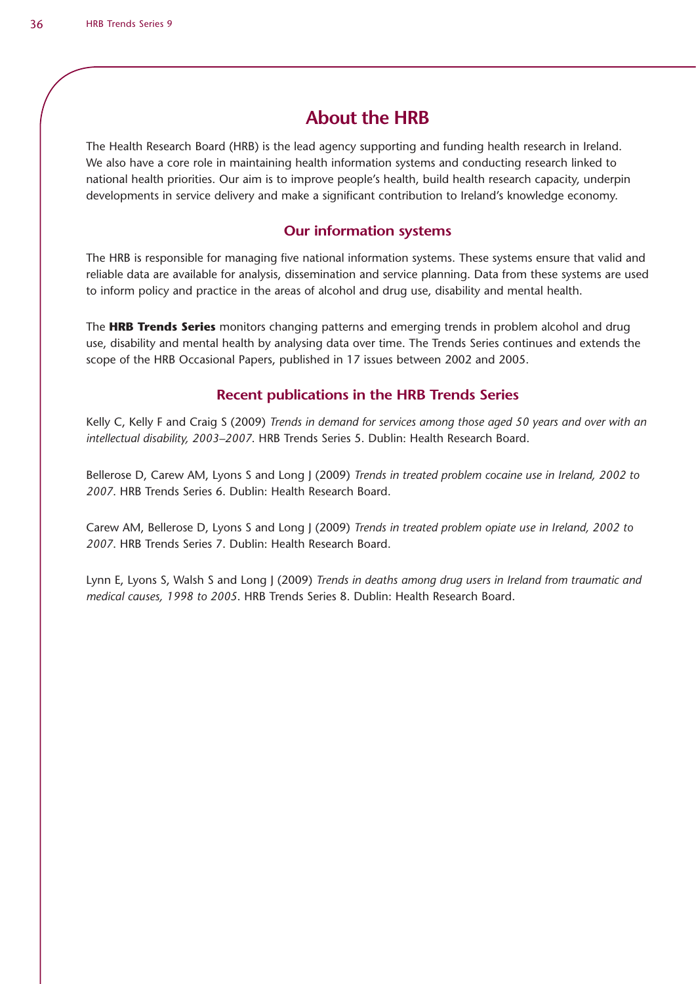# **About the HRB**

The Health Research Board (HRB) is the lead agency supporting and funding health research in Ireland. We also have a core role in maintaining health information systems and conducting research linked to national health priorities. Our aim is to improve people's health, build health research capacity, underpin developments in service delivery and make a significant contribution to Ireland's knowledge economy.

#### **Our information systems**

The HRB is responsible for managing five national information systems. These systems ensure that valid and reliable data are available for analysis, dissemination and service planning. Data from these systems are used to inform policy and practice in the areas of alcohol and drug use, disability and mental health.

The **HRB Trends Series** monitors changing patterns and emerging trends in problem alcohol and drug use, disability and mental health by analysing data over time. The Trends Series continues and extends the scope of the HRB Occasional Papers, published in 17 issues between 2002 and 2005.

#### **Recent publications in the HRB Trends Series**

Kelly C, Kelly F and Craig S (2009) *Trends in demand for services among those aged 50 years and over with an intellectual disability, 2003–2007*. HRB Trends Series 5. Dublin: Health Research Board.

Bellerose D, Carew AM, Lyons S and Long J (2009) *Trends in treated problem cocaine use in Ireland, 2002 to 2007*. HRB Trends Series 6. Dublin: Health Research Board.

Carew AM, Bellerose D, Lyons S and Long J (2009) *Trends in treated problem opiate use in Ireland, 2002 to 2007*. HRB Trends Series 7. Dublin: Health Research Board.

Lynn E, Lyons S, Walsh S and Long J (2009) *Trends in deaths among drug users in Ireland from traumatic and medical causes, 1998 to 2005*. HRB Trends Series 8. Dublin: Health Research Board.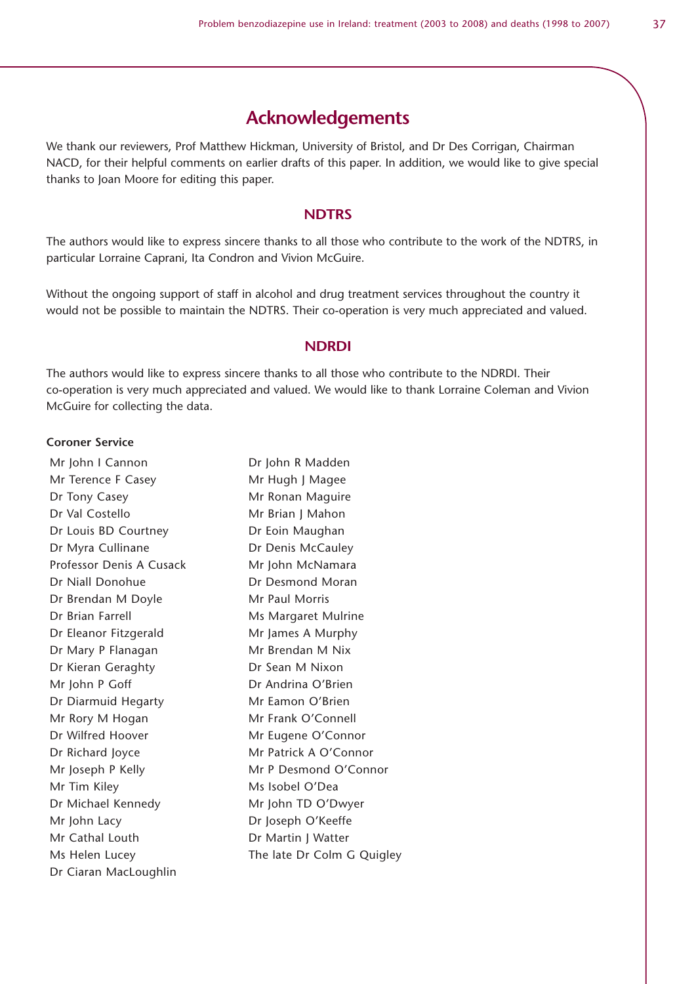### **Acknowledgements**

We thank our reviewers, Prof Matthew Hickman, University of Bristol, and Dr Des Corrigan, Chairman NACD, for their helpful comments on earlier drafts of this paper. In addition, we would like to give special thanks to Joan Moore for editing this paper.

#### **NDTRS**

The authors would like to express sincere thanks to all those who contribute to the work of the NDTRS, in particular Lorraine Caprani, Ita Condron and Vivion McGuire.

Without the ongoing support of staff in alcohol and drug treatment services throughout the country it would not be possible to maintain the NDTRS. Their co-operation is very much appreciated and valued.

#### **NDRDI**

The authors would like to express sincere thanks to all those who contribute to the NDRDI. Their co-operation is very much appreciated and valued. We would like to thank Lorraine Coleman and Vivion McGuire for collecting the data.

#### **Coroner Service**

Mr John I Cannon Dr John R Madden Mr Terence F Casey Mr Hugh J Magee Dr Tony Casey **Mr Ronan Maguire** Dr Val Costello Mr Brian J Mahon Dr Louis BD Courtney Dr Eoin Maughan Dr Myra Cullinane Dr Denis McCauley Professor Denis A Cusack Mr John McNamara Dr Niall Donohue Dr Desmond Moran Dr Brendan M Doyle Mr Paul Morris Dr Brian Farrell Ms Margaret Mulrine Dr Eleanor Fitzgerald Mr James A Murphy Dr Mary P Flanagan Mr Brendan M Nix Dr Kieran Geraghty **Dr Sean M Nixon** Mr John P Goff Dr Andrina O'Brien Dr Diarmuid Hegarty Mr Eamon O'Brien Mr Rory M Hogan Mr Frank O'Connell Dr Wilfred Hoover Mr Eugene O'Connor Dr Richard Joyce Mr Patrick A O'Connor Mr Joseph P Kelly Mr P Desmond O'Connor Mr Tim Kiley Ms Isobel O'Dea Dr Michael Kennedy Mr John TD O'Dwyer Mr John Lacy Dr Joseph O'Keeffe Mr Cathal Louth Dr Martin J Watter Ms Helen Lucey The late Dr Colm G Quigley Dr Ciaran MacLoughlin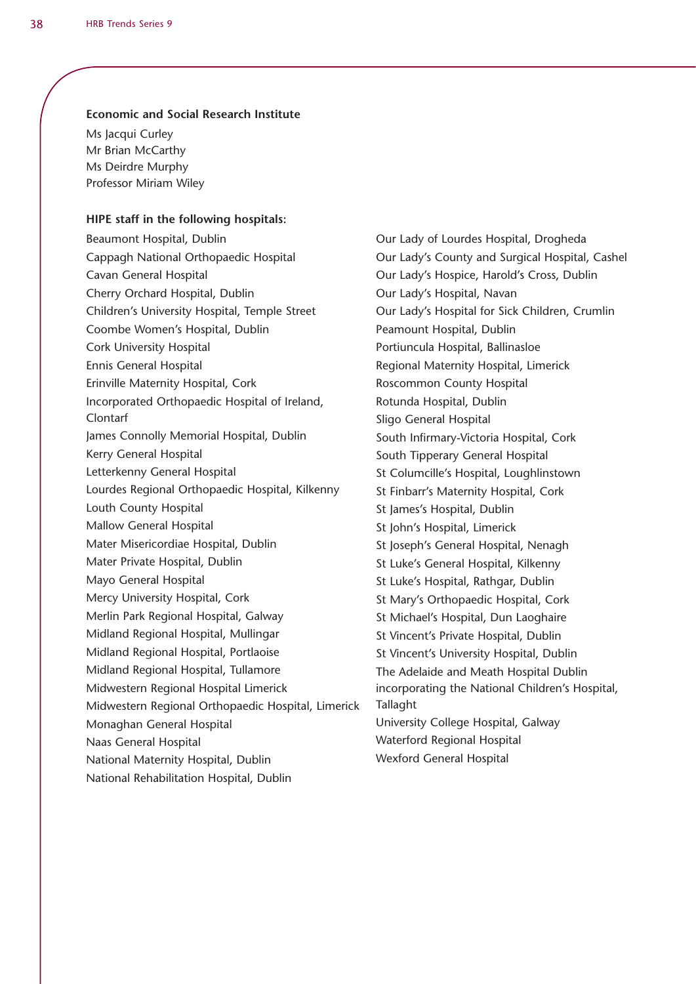#### **Economic and Social Research Institute**

Ms Jacqui Curley Mr Brian McCarthy Ms Deirdre Murphy Professor Miriam Wiley

#### **HIPE staff in the following hospitals:**

Beaumont Hospital, Dublin Cappagh National Orthopaedic Hospital Cavan General Hospital Cherry Orchard Hospital, Dublin Children's University Hospital, Temple Street Coombe Women's Hospital, Dublin Cork University Hospital Ennis General Hospital Erinville Maternity Hospital, Cork Incorporated Orthopaedic Hospital of Ireland, Clontarf James Connolly Memorial Hospital, Dublin Kerry General Hospital Letterkenny General Hospital Lourdes Regional Orthopaedic Hospital, Kilkenny Louth County Hospital Mallow General Hospital Mater Misericordiae Hospital, Dublin Mater Private Hospital, Dublin Mayo General Hospital Mercy University Hospital, Cork Merlin Park Regional Hospital, Galway Midland Regional Hospital, Mullingar Midland Regional Hospital, Portlaoise Midland Regional Hospital, Tullamore Midwestern Regional Hospital Limerick Midwestern Regional Orthopaedic Hospital, Limerick Monaghan General Hospital Naas General Hospital National Maternity Hospital, Dublin National Rehabilitation Hospital, Dublin

Our Lady of Lourdes Hospital, Drogheda Our Lady's County and Surgical Hospital, Cashel Our Lady's Hospice, Harold's Cross, Dublin Our Lady's Hospital, Navan Our Lady's Hospital for Sick Children, Crumlin Peamount Hospital, Dublin Portiuncula Hospital, Ballinasloe Regional Maternity Hospital, Limerick Roscommon County Hospital Rotunda Hospital, Dublin Sligo General Hospital South Infirmary-Victoria Hospital, Cork South Tipperary General Hospital St Columcille's Hospital, Loughlinstown St Finbarr's Maternity Hospital, Cork St James's Hospital, Dublin St John's Hospital, Limerick St Joseph's General Hospital, Nenagh St Luke's General Hospital, Kilkenny St Luke's Hospital, Rathgar, Dublin St Mary's Orthopaedic Hospital, Cork St Michael's Hospital, Dun Laoghaire St Vincent's Private Hospital, Dublin St Vincent's University Hospital, Dublin The Adelaide and Meath Hospital Dublin incorporating the National Children's Hospital, Tallaght University College Hospital, Galway Waterford Regional Hospital Wexford General Hospital